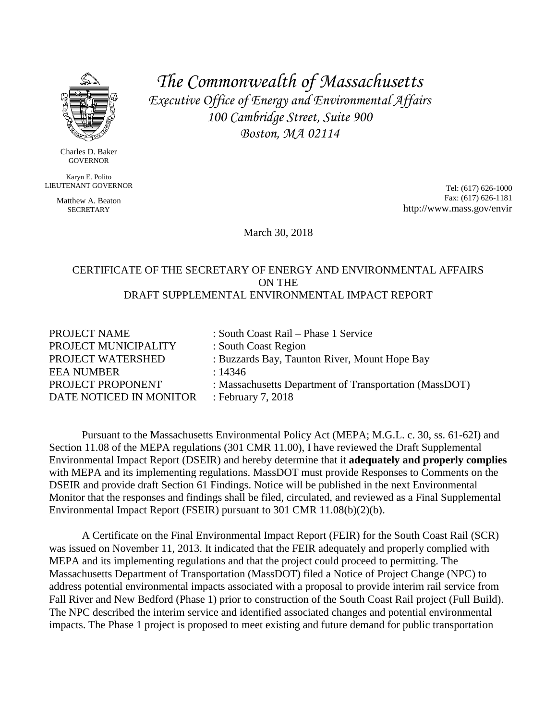

Charles D. Baker GOVERNOR

Karyn E. Polito LIEUTENANT GOVERNOR

> Matthew A. Beaton **SECRETARY**

*The Commonwealth of Massachusetts Executive Office of Energy and Environmental Affairs 100 Cambridge Street, Suite 900 Boston, MA 02114*

> Tel: (617) 626-1000 Fax: (617) 626-1181 http://www.mass.gov/envir

March 30, 2018

#### CERTIFICATE OF THE SECRETARY OF ENERGY AND ENVIRONMENTAL AFFAIRS ON THE DRAFT SUPPLEMENTAL ENVIRONMENTAL IMPACT REPORT

| PROJECT NAME            | : South Coast Rail – Phase 1 Service                   |
|-------------------------|--------------------------------------------------------|
| PROJECT MUNICIPALITY    | : South Coast Region                                   |
| PROJECT WATERSHED       | : Buzzards Bay, Taunton River, Mount Hope Bay          |
| <b>EEA NUMBER</b>       | : 14346                                                |
| PROJECT PROPONENT       | : Massachusetts Department of Transportation (MassDOT) |
| DATE NOTICED IN MONITOR | : February 7, 2018                                     |
|                         |                                                        |

Pursuant to the Massachusetts Environmental Policy Act (MEPA; M.G.L. c. 30, ss. 61-62I) and Section 11.08 of the MEPA regulations (301 CMR 11.00), I have reviewed the Draft Supplemental Environmental Impact Report (DSEIR) and hereby determine that it **adequately and properly complies** with MEPA and its implementing regulations. MassDOT must provide Responses to Comments on the DSEIR and provide draft Section 61 Findings. Notice will be published in the next Environmental Monitor that the responses and findings shall be filed, circulated, and reviewed as a Final Supplemental Environmental Impact Report (FSEIR) pursuant to 301 CMR 11.08(b)(2)(b).

A Certificate on the Final Environmental Impact Report (FEIR) for the South Coast Rail (SCR) was issued on November 11, 2013. It indicated that the FEIR adequately and properly complied with MEPA and its implementing regulations and that the project could proceed to permitting. The Massachusetts Department of Transportation (MassDOT) filed a Notice of Project Change (NPC) to address potential environmental impacts associated with a proposal to provide interim rail service from Fall River and New Bedford (Phase 1) prior to construction of the South Coast Rail project (Full Build). The NPC described the interim service and identified associated changes and potential environmental impacts. The Phase 1 project is proposed to meet existing and future demand for public transportation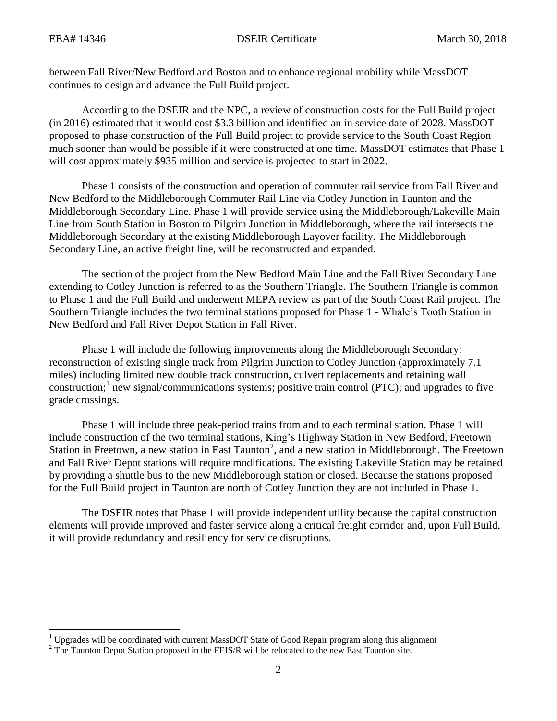$\overline{\phantom{a}}$ 

between Fall River/New Bedford and Boston and to enhance regional mobility while MassDOT continues to design and advance the Full Build project.

According to the DSEIR and the NPC, a review of construction costs for the Full Build project (in 2016) estimated that it would cost \$3.3 billion and identified an in service date of 2028. MassDOT proposed to phase construction of the Full Build project to provide service to the South Coast Region much sooner than would be possible if it were constructed at one time. MassDOT estimates that Phase 1 will cost approximately \$935 million and service is projected to start in 2022.

Phase 1 consists of the construction and operation of commuter rail service from Fall River and New Bedford to the Middleborough Commuter Rail Line via Cotley Junction in Taunton and the Middleborough Secondary Line. Phase 1 will provide service using the Middleborough/Lakeville Main Line from South Station in Boston to Pilgrim Junction in Middleborough, where the rail intersects the Middleborough Secondary at the existing Middleborough Layover facility. The Middleborough Secondary Line, an active freight line, will be reconstructed and expanded.

The section of the project from the New Bedford Main Line and the Fall River Secondary Line extending to Cotley Junction is referred to as the Southern Triangle. The Southern Triangle is common to Phase 1 and the Full Build and underwent MEPA review as part of the South Coast Rail project. The Southern Triangle includes the two terminal stations proposed for Phase 1 - Whale's Tooth Station in New Bedford and Fall River Depot Station in Fall River.

Phase 1 will include the following improvements along the Middleborough Secondary: reconstruction of existing single track from Pilgrim Junction to Cotley Junction (approximately 7.1 miles) including limited new double track construction, culvert replacements and retaining wall construction;<sup>1</sup> new signal/communications systems; positive train control (PTC); and upgrades to five grade crossings.

Phase 1 will include three peak-period trains from and to each terminal station. Phase 1 will include construction of the two terminal stations, King's Highway Station in New Bedford, Freetown Station in Freetown, a new station in East Taunton<sup>2</sup>, and a new station in Middleborough. The Freetown and Fall River Depot stations will require modifications. The existing Lakeville Station may be retained by providing a shuttle bus to the new Middleborough station or closed. Because the stations proposed for the Full Build project in Taunton are north of Cotley Junction they are not included in Phase 1.

The DSEIR notes that Phase 1 will provide independent utility because the capital construction elements will provide improved and faster service along a critical freight corridor and, upon Full Build, it will provide redundancy and resiliency for service disruptions.

 $1$  Upgrades will be coordinated with current MassDOT State of Good Repair program along this alignment

 $2^2$  The Taunton Depot Station proposed in the FEIS/R will be relocated to the new East Taunton site.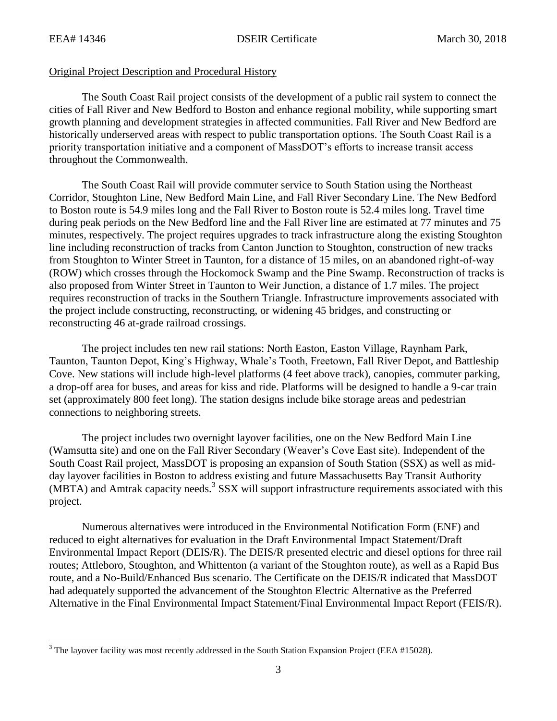$\overline{\phantom{a}}$ 

#### Original Project Description and Procedural History

The South Coast Rail project consists of the development of a public rail system to connect the cities of Fall River and New Bedford to Boston and enhance regional mobility, while supporting smart growth planning and development strategies in affected communities. Fall River and New Bedford are historically underserved areas with respect to public transportation options. The South Coast Rail is a priority transportation initiative and a component of MassDOT's efforts to increase transit access throughout the Commonwealth.

The South Coast Rail will provide commuter service to South Station using the Northeast Corridor, Stoughton Line, New Bedford Main Line, and Fall River Secondary Line. The New Bedford to Boston route is 54.9 miles long and the Fall River to Boston route is 52.4 miles long. Travel time during peak periods on the New Bedford line and the Fall River line are estimated at 77 minutes and 75 minutes, respectively. The project requires upgrades to track infrastructure along the existing Stoughton line including reconstruction of tracks from Canton Junction to Stoughton, construction of new tracks from Stoughton to Winter Street in Taunton, for a distance of 15 miles, on an abandoned right-of-way (ROW) which crosses through the Hockomock Swamp and the Pine Swamp. Reconstruction of tracks is also proposed from Winter Street in Taunton to Weir Junction, a distance of 1.7 miles. The project requires reconstruction of tracks in the Southern Triangle. Infrastructure improvements associated with the project include constructing, reconstructing, or widening 45 bridges, and constructing or reconstructing 46 at-grade railroad crossings.

The project includes ten new rail stations: North Easton, Easton Village, Raynham Park, Taunton, Taunton Depot, King's Highway, Whale's Tooth, Freetown, Fall River Depot, and Battleship Cove. New stations will include high-level platforms (4 feet above track), canopies, commuter parking, a drop-off area for buses, and areas for kiss and ride. Platforms will be designed to handle a 9-car train set (approximately 800 feet long). The station designs include bike storage areas and pedestrian connections to neighboring streets.

The project includes two overnight layover facilities, one on the New Bedford Main Line (Wamsutta site) and one on the Fall River Secondary (Weaver's Cove East site). Independent of the South Coast Rail project, MassDOT is proposing an expansion of South Station (SSX) as well as midday layover facilities in Boston to address existing and future Massachusetts Bay Transit Authority  $(MBTA)$  and Amtrak capacity needs.<sup>3</sup> SSX will support infrastructure requirements associated with this project.

Numerous alternatives were introduced in the Environmental Notification Form (ENF) and reduced to eight alternatives for evaluation in the Draft Environmental Impact Statement/Draft Environmental Impact Report (DEIS/R). The DEIS/R presented electric and diesel options for three rail routes; Attleboro, Stoughton, and Whittenton (a variant of the Stoughton route), as well as a Rapid Bus route, and a No-Build/Enhanced Bus scenario. The Certificate on the DEIS/R indicated that MassDOT had adequately supported the advancement of the Stoughton Electric Alternative as the Preferred Alternative in the Final Environmental Impact Statement/Final Environmental Impact Report (FEIS/R).

<sup>&</sup>lt;sup>3</sup> The layover facility was most recently addressed in the South Station Expansion Project (EEA #15028).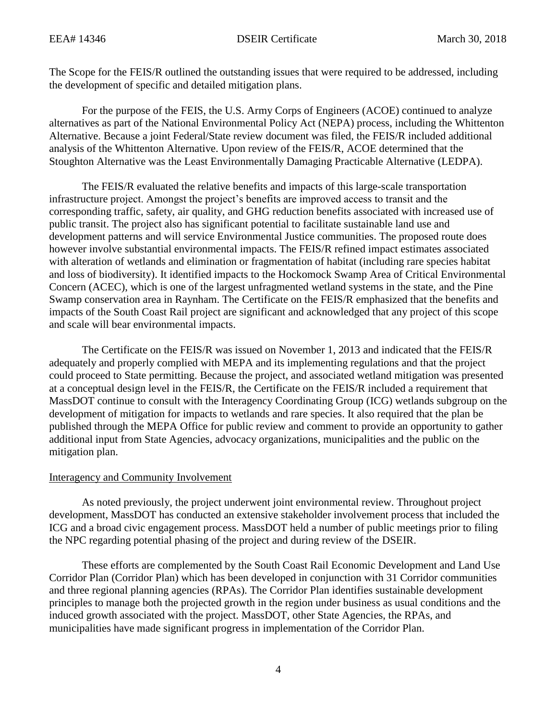The Scope for the FEIS/R outlined the outstanding issues that were required to be addressed, including the development of specific and detailed mitigation plans.

For the purpose of the FEIS, the U.S. Army Corps of Engineers (ACOE) continued to analyze alternatives as part of the National Environmental Policy Act (NEPA) process, including the Whittenton Alternative. Because a joint Federal/State review document was filed, the FEIS/R included additional analysis of the Whittenton Alternative. Upon review of the FEIS/R, ACOE determined that the Stoughton Alternative was the Least Environmentally Damaging Practicable Alternative (LEDPA).

The FEIS/R evaluated the relative benefits and impacts of this large-scale transportation infrastructure project. Amongst the project's benefits are improved access to transit and the corresponding traffic, safety, air quality, and GHG reduction benefits associated with increased use of public transit. The project also has significant potential to facilitate sustainable land use and development patterns and will service Environmental Justice communities. The proposed route does however involve substantial environmental impacts. The FEIS/R refined impact estimates associated with alteration of wetlands and elimination or fragmentation of habitat (including rare species habitat and loss of biodiversity). It identified impacts to the Hockomock Swamp Area of Critical Environmental Concern (ACEC), which is one of the largest unfragmented wetland systems in the state, and the Pine Swamp conservation area in Raynham. The Certificate on the FEIS/R emphasized that the benefits and impacts of the South Coast Rail project are significant and acknowledged that any project of this scope and scale will bear environmental impacts.

The Certificate on the FEIS/R was issued on November 1, 2013 and indicated that the FEIS/R adequately and properly complied with MEPA and its implementing regulations and that the project could proceed to State permitting. Because the project, and associated wetland mitigation was presented at a conceptual design level in the FEIS/R, the Certificate on the FEIS/R included a requirement that MassDOT continue to consult with the Interagency Coordinating Group (ICG) wetlands subgroup on the development of mitigation for impacts to wetlands and rare species. It also required that the plan be published through the MEPA Office for public review and comment to provide an opportunity to gather additional input from State Agencies, advocacy organizations, municipalities and the public on the mitigation plan.

## Interagency and Community Involvement

As noted previously, the project underwent joint environmental review. Throughout project development, MassDOT has conducted an extensive stakeholder involvement process that included the ICG and a broad civic engagement process. MassDOT held a number of public meetings prior to filing the NPC regarding potential phasing of the project and during review of the DSEIR.

These efforts are complemented by the South Coast Rail Economic Development and Land Use Corridor Plan (Corridor Plan) which has been developed in conjunction with 31 Corridor communities and three regional planning agencies (RPAs). The Corridor Plan identifies sustainable development principles to manage both the projected growth in the region under business as usual conditions and the induced growth associated with the project. MassDOT, other State Agencies, the RPAs, and municipalities have made significant progress in implementation of the Corridor Plan.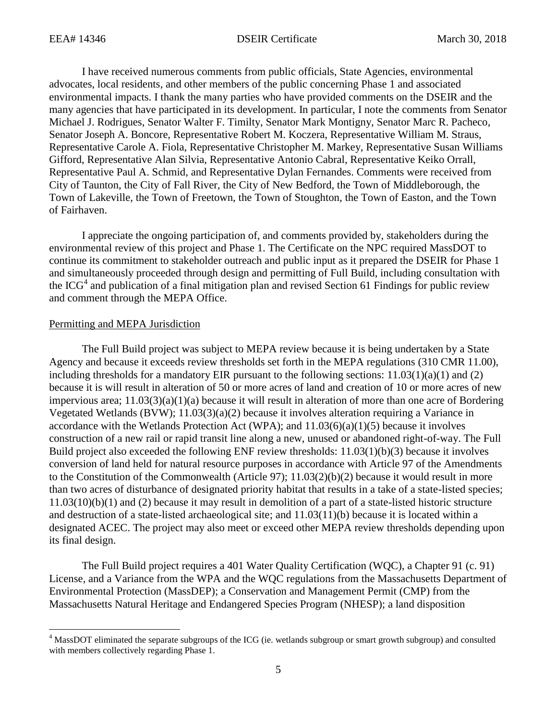I have received numerous comments from public officials, State Agencies, environmental advocates, local residents, and other members of the public concerning Phase 1 and associated environmental impacts. I thank the many parties who have provided comments on the DSEIR and the many agencies that have participated in its development. In particular, I note the comments from Senator Michael J. Rodrigues, Senator Walter F. Timilty, Senator Mark Montigny, Senator Marc R. Pacheco, Senator Joseph A. Boncore, Representative Robert M. Koczera, Representative William M. Straus, Representative Carole A. Fiola, Representative Christopher M. Markey, Representative Susan Williams Gifford, Representative Alan Silvia, Representative Antonio Cabral, Representative Keiko Orrall, Representative Paul A. Schmid, and Representative Dylan Fernandes. Comments were received from City of Taunton, the City of Fall River, the City of New Bedford, the Town of Middleborough, the Town of Lakeville, the Town of Freetown, the Town of Stoughton, the Town of Easton, and the Town of Fairhaven.

I appreciate the ongoing participation of, and comments provided by, stakeholders during the environmental review of this project and Phase 1. The Certificate on the NPC required MassDOT to continue its commitment to stakeholder outreach and public input as it prepared the DSEIR for Phase 1 and simultaneously proceeded through design and permitting of Full Build, including consultation with the  $ICG<sup>4</sup>$  and publication of a final mitigation plan and revised Section 61 Findings for public review and comment through the MEPA Office.

#### Permitting and MEPA Jurisdiction

 $\overline{\phantom{a}}$ 

The Full Build project was subject to MEPA review because it is being undertaken by a State Agency and because it exceeds review thresholds set forth in the MEPA regulations (310 CMR 11.00), including thresholds for a mandatory EIR pursuant to the following sections:  $11.03(1)(a)(1)$  and (2) because it is will result in alteration of 50 or more acres of land and creation of 10 or more acres of new impervious area; 11.03(3)(a)(1)(a) because it will result in alteration of more than one acre of Bordering Vegetated Wetlands (BVW); 11.03(3)(a)(2) because it involves alteration requiring a Variance in accordance with the Wetlands Protection Act (WPA); and  $11.03(6)(a)(1)(5)$  because it involves construction of a new rail or rapid transit line along a new, unused or abandoned right-of-way. The Full Build project also exceeded the following ENF review thresholds: 11.03(1)(b)(3) because it involves conversion of land held for natural resource purposes in accordance with Article 97 of the Amendments to the Constitution of the Commonwealth (Article 97); 11.03(2)(b)(2) because it would result in more than two acres of disturbance of designated priority habitat that results in a take of a state-listed species; 11.03(10)(b)(1) and (2) because it may result in demolition of a part of a state-listed historic structure and destruction of a state-listed archaeological site; and 11.03(11)(b) because it is located within a designated ACEC. The project may also meet or exceed other MEPA review thresholds depending upon its final design.

The Full Build project requires a 401 Water Quality Certification (WQC), a Chapter 91 (c. 91) License, and a Variance from the WPA and the WQC regulations from the Massachusetts Department of Environmental Protection (MassDEP); a Conservation and Management Permit (CMP) from the Massachusetts Natural Heritage and Endangered Species Program (NHESP); a land disposition

<sup>4</sup> MassDOT eliminated the separate subgroups of the ICG (ie. wetlands subgroup or smart growth subgroup) and consulted with members collectively regarding Phase 1.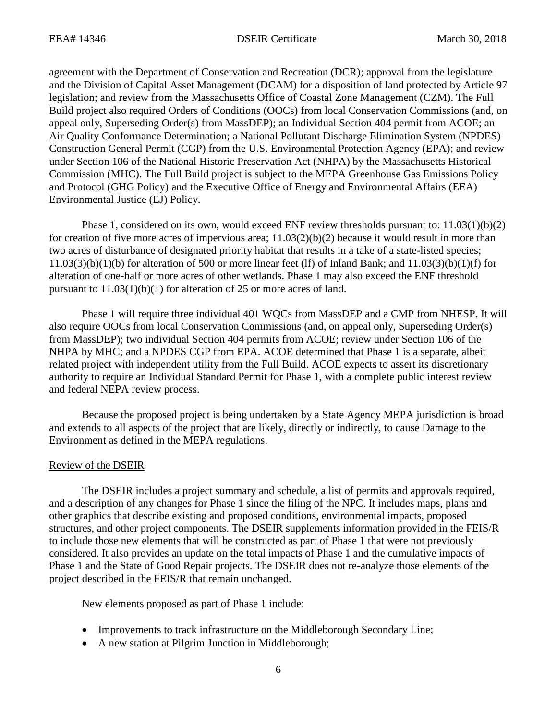agreement with the Department of Conservation and Recreation (DCR); approval from the legislature and the Division of Capital Asset Management (DCAM) for a disposition of land protected by Article 97 legislation; and review from the Massachusetts Office of Coastal Zone Management (CZM). The Full Build project also required Orders of Conditions (OOCs) from local Conservation Commissions (and, on appeal only, Superseding Order(s) from MassDEP); an Individual Section 404 permit from ACOE; an Air Quality Conformance Determination; a National Pollutant Discharge Elimination System (NPDES) Construction General Permit (CGP) from the U.S. Environmental Protection Agency (EPA); and review under Section 106 of the National Historic Preservation Act (NHPA) by the Massachusetts Historical Commission (MHC). The Full Build project is subject to the MEPA Greenhouse Gas Emissions Policy and Protocol (GHG Policy) and the Executive Office of Energy and Environmental Affairs (EEA) Environmental Justice (EJ) Policy.

Phase 1, considered on its own, would exceed ENF review thresholds pursuant to: 11.03(1)(b)(2) for creation of five more acres of impervious area;  $11.03(2)(b)(2)$  because it would result in more than two acres of disturbance of designated priority habitat that results in a take of a state-listed species;  $11.03(3)(b)(1)(b)$  for alteration of 500 or more linear feet (lf) of Inland Bank; and  $11.03(3)(b)(1)(f)$  for alteration of one-half or more acres of other wetlands. Phase 1 may also exceed the ENF threshold pursuant to 11.03(1)(b)(1) for alteration of 25 or more acres of land.

Phase 1 will require three individual 401 WQCs from MassDEP and a CMP from NHESP. It will also require OOCs from local Conservation Commissions (and, on appeal only, Superseding Order(s) from MassDEP); two individual Section 404 permits from ACOE; review under Section 106 of the NHPA by MHC; and a NPDES CGP from EPA. ACOE determined that Phase 1 is a separate, albeit related project with independent utility from the Full Build. ACOE expects to assert its discretionary authority to require an Individual Standard Permit for Phase 1, with a complete public interest review and federal NEPA review process.

Because the proposed project is being undertaken by a State Agency MEPA jurisdiction is broad and extends to all aspects of the project that are likely, directly or indirectly, to cause Damage to the Environment as defined in the MEPA regulations.

#### Review of the DSEIR

The DSEIR includes a project summary and schedule, a list of permits and approvals required, and a description of any changes for Phase 1 since the filing of the NPC. It includes maps, plans and other graphics that describe existing and proposed conditions, environmental impacts, proposed structures, and other project components. The DSEIR supplements information provided in the FEIS/R to include those new elements that will be constructed as part of Phase 1 that were not previously considered. It also provides an update on the total impacts of Phase 1 and the cumulative impacts of Phase 1 and the State of Good Repair projects. The DSEIR does not re-analyze those elements of the project described in the FEIS/R that remain unchanged.

New elements proposed as part of Phase 1 include:

- Improvements to track infrastructure on the Middleborough Secondary Line;
- A new station at Pilgrim Junction in Middleborough;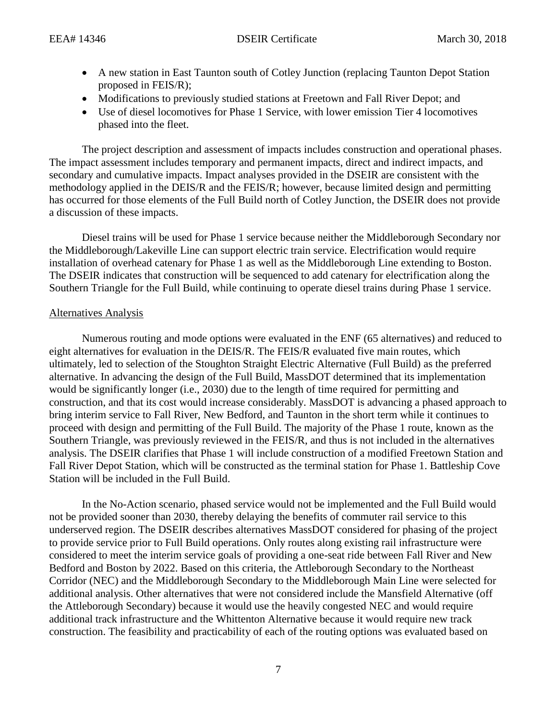- A new station in East Taunton south of Cotley Junction (replacing Taunton Depot Station proposed in FEIS/R);
- Modifications to previously studied stations at Freetown and Fall River Depot; and
- Use of diesel locomotives for Phase 1 Service, with lower emission Tier 4 locomotives phased into the fleet.

The project description and assessment of impacts includes construction and operational phases. The impact assessment includes temporary and permanent impacts, direct and indirect impacts, and secondary and cumulative impacts. Impact analyses provided in the DSEIR are consistent with the methodology applied in the DEIS/R and the FEIS/R; however, because limited design and permitting has occurred for those elements of the Full Build north of Cotley Junction, the DSEIR does not provide a discussion of these impacts.

Diesel trains will be used for Phase 1 service because neither the Middleborough Secondary nor the Middleborough/Lakeville Line can support electric train service. Electrification would require installation of overhead catenary for Phase 1 as well as the Middleborough Line extending to Boston. The DSEIR indicates that construction will be sequenced to add catenary for electrification along the Southern Triangle for the Full Build, while continuing to operate diesel trains during Phase 1 service.

# Alternatives Analysis

Numerous routing and mode options were evaluated in the ENF (65 alternatives) and reduced to eight alternatives for evaluation in the DEIS/R. The FEIS/R evaluated five main routes, which ultimately, led to selection of the Stoughton Straight Electric Alternative (Full Build) as the preferred alternative. In advancing the design of the Full Build, MassDOT determined that its implementation would be significantly longer (i.e., 2030) due to the length of time required for permitting and construction, and that its cost would increase considerably. MassDOT is advancing a phased approach to bring interim service to Fall River, New Bedford, and Taunton in the short term while it continues to proceed with design and permitting of the Full Build. The majority of the Phase 1 route, known as the Southern Triangle, was previously reviewed in the FEIS/R, and thus is not included in the alternatives analysis. The DSEIR clarifies that Phase 1 will include construction of a modified Freetown Station and Fall River Depot Station, which will be constructed as the terminal station for Phase 1. Battleship Cove Station will be included in the Full Build.

In the No-Action scenario, phased service would not be implemented and the Full Build would not be provided sooner than 2030, thereby delaying the benefits of commuter rail service to this underserved region. The DSEIR describes alternatives MassDOT considered for phasing of the project to provide service prior to Full Build operations. Only routes along existing rail infrastructure were considered to meet the interim service goals of providing a one-seat ride between Fall River and New Bedford and Boston by 2022. Based on this criteria, the Attleborough Secondary to the Northeast Corridor (NEC) and the Middleborough Secondary to the Middleborough Main Line were selected for additional analysis. Other alternatives that were not considered include the Mansfield Alternative (off the Attleborough Secondary) because it would use the heavily congested NEC and would require additional track infrastructure and the Whittenton Alternative because it would require new track construction. The feasibility and practicability of each of the routing options was evaluated based on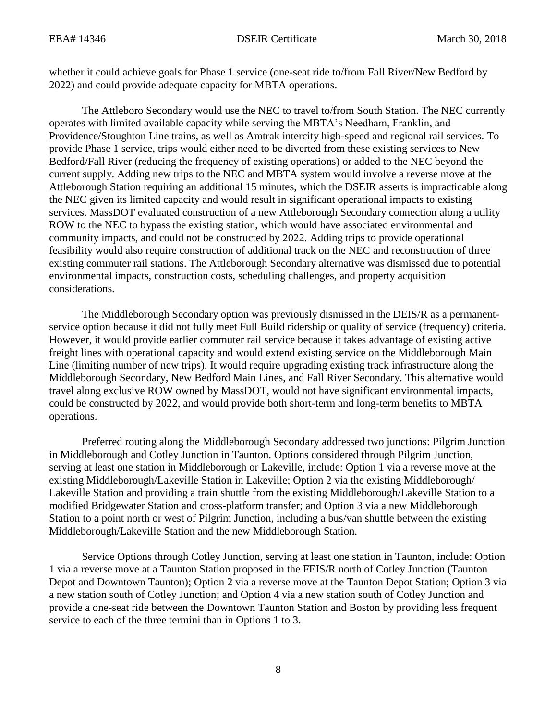whether it could achieve goals for Phase 1 service (one-seat ride to/from Fall River/New Bedford by 2022) and could provide adequate capacity for MBTA operations.

The Attleboro Secondary would use the NEC to travel to/from South Station. The NEC currently operates with limited available capacity while serving the MBTA's Needham, Franklin, and Providence/Stoughton Line trains, as well as Amtrak intercity high-speed and regional rail services. To provide Phase 1 service, trips would either need to be diverted from these existing services to New Bedford/Fall River (reducing the frequency of existing operations) or added to the NEC beyond the current supply. Adding new trips to the NEC and MBTA system would involve a reverse move at the Attleborough Station requiring an additional 15 minutes, which the DSEIR asserts is impracticable along the NEC given its limited capacity and would result in significant operational impacts to existing services. MassDOT evaluated construction of a new Attleborough Secondary connection along a utility ROW to the NEC to bypass the existing station, which would have associated environmental and community impacts, and could not be constructed by 2022. Adding trips to provide operational feasibility would also require construction of additional track on the NEC and reconstruction of three existing commuter rail stations. The Attleborough Secondary alternative was dismissed due to potential environmental impacts, construction costs, scheduling challenges, and property acquisition considerations.

The Middleborough Secondary option was previously dismissed in the DEIS/R as a permanentservice option because it did not fully meet Full Build ridership or quality of service (frequency) criteria. However, it would provide earlier commuter rail service because it takes advantage of existing active freight lines with operational capacity and would extend existing service on the Middleborough Main Line (limiting number of new trips). It would require upgrading existing track infrastructure along the Middleborough Secondary, New Bedford Main Lines, and Fall River Secondary. This alternative would travel along exclusive ROW owned by MassDOT, would not have significant environmental impacts, could be constructed by 2022, and would provide both short-term and long-term benefits to MBTA operations.

Preferred routing along the Middleborough Secondary addressed two junctions: Pilgrim Junction in Middleborough and Cotley Junction in Taunton. Options considered through Pilgrim Junction, serving at least one station in Middleborough or Lakeville, include: Option 1 via a reverse move at the existing Middleborough/Lakeville Station in Lakeville; Option 2 via the existing Middleborough/ Lakeville Station and providing a train shuttle from the existing Middleborough/Lakeville Station to a modified Bridgewater Station and cross-platform transfer; and Option 3 via a new Middleborough Station to a point north or west of Pilgrim Junction, including a bus/van shuttle between the existing Middleborough/Lakeville Station and the new Middleborough Station.

Service Options through Cotley Junction, serving at least one station in Taunton, include: Option 1 via a reverse move at a Taunton Station proposed in the FEIS/R north of Cotley Junction (Taunton Depot and Downtown Taunton); Option 2 via a reverse move at the Taunton Depot Station; Option 3 via a new station south of Cotley Junction; and Option 4 via a new station south of Cotley Junction and provide a one-seat ride between the Downtown Taunton Station and Boston by providing less frequent service to each of the three termini than in Options 1 to 3.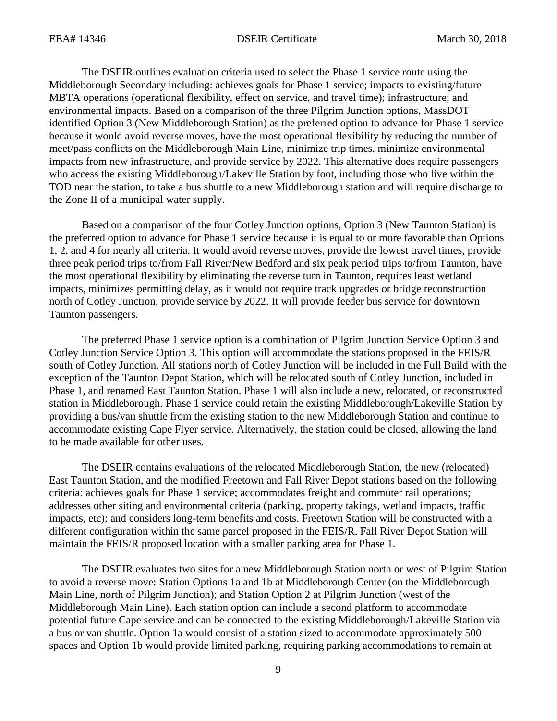The DSEIR outlines evaluation criteria used to select the Phase 1 service route using the Middleborough Secondary including: achieves goals for Phase 1 service; impacts to existing/future MBTA operations (operational flexibility, effect on service, and travel time); infrastructure; and environmental impacts. Based on a comparison of the three Pilgrim Junction options, MassDOT identified Option 3 (New Middleborough Station) as the preferred option to advance for Phase 1 service because it would avoid reverse moves, have the most operational flexibility by reducing the number of meet/pass conflicts on the Middleborough Main Line, minimize trip times, minimize environmental impacts from new infrastructure, and provide service by 2022. This alternative does require passengers who access the existing Middleborough/Lakeville Station by foot, including those who live within the TOD near the station, to take a bus shuttle to a new Middleborough station and will require discharge to the Zone II of a municipal water supply.

Based on a comparison of the four Cotley Junction options, Option 3 (New Taunton Station) is the preferred option to advance for Phase 1 service because it is equal to or more favorable than Options 1, 2, and 4 for nearly all criteria. It would avoid reverse moves, provide the lowest travel times, provide three peak period trips to/from Fall River/New Bedford and six peak period trips to/from Taunton, have the most operational flexibility by eliminating the reverse turn in Taunton, requires least wetland impacts, minimizes permitting delay, as it would not require track upgrades or bridge reconstruction north of Cotley Junction, provide service by 2022. It will provide feeder bus service for downtown Taunton passengers.

The preferred Phase 1 service option is a combination of Pilgrim Junction Service Option 3 and Cotley Junction Service Option 3. This option will accommodate the stations proposed in the FEIS/R south of Cotley Junction. All stations north of Cotley Junction will be included in the Full Build with the exception of the Taunton Depot Station, which will be relocated south of Cotley Junction, included in Phase 1, and renamed East Taunton Station. Phase 1 will also include a new, relocated, or reconstructed station in Middleborough. Phase 1 service could retain the existing Middleborough/Lakeville Station by providing a bus/van shuttle from the existing station to the new Middleborough Station and continue to accommodate existing Cape Flyer service. Alternatively, the station could be closed, allowing the land to be made available for other uses.

The DSEIR contains evaluations of the relocated Middleborough Station, the new (relocated) East Taunton Station, and the modified Freetown and Fall River Depot stations based on the following criteria: achieves goals for Phase 1 service; accommodates freight and commuter rail operations; addresses other siting and environmental criteria (parking, property takings, wetland impacts, traffic impacts, etc); and considers long-term benefits and costs. Freetown Station will be constructed with a different configuration within the same parcel proposed in the FEIS/R. Fall River Depot Station will maintain the FEIS/R proposed location with a smaller parking area for Phase 1.

The DSEIR evaluates two sites for a new Middleborough Station north or west of Pilgrim Station to avoid a reverse move: Station Options 1a and 1b at Middleborough Center (on the Middleborough Main Line, north of Pilgrim Junction); and Station Option 2 at Pilgrim Junction (west of the Middleborough Main Line). Each station option can include a second platform to accommodate potential future Cape service and can be connected to the existing Middleborough/Lakeville Station via a bus or van shuttle. Option 1a would consist of a station sized to accommodate approximately 500 spaces and Option 1b would provide limited parking, requiring parking accommodations to remain at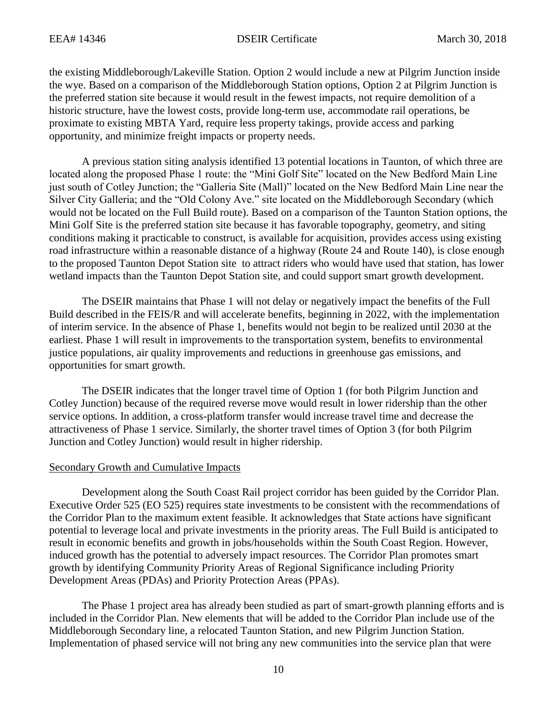the existing Middleborough/Lakeville Station. Option 2 would include a new at Pilgrim Junction inside the wye. Based on a comparison of the Middleborough Station options, Option 2 at Pilgrim Junction is the preferred station site because it would result in the fewest impacts, not require demolition of a historic structure, have the lowest costs, provide long-term use, accommodate rail operations, be proximate to existing MBTA Yard, require less property takings, provide access and parking opportunity, and minimize freight impacts or property needs.

A previous station siting analysis identified 13 potential locations in Taunton, of which three are located along the proposed Phase 1 route: the "Mini Golf Site" located on the New Bedford Main Line just south of Cotley Junction; the "Galleria Site (Mall)" located on the New Bedford Main Line near the Silver City Galleria; and the "Old Colony Ave." site located on the Middleborough Secondary (which would not be located on the Full Build route). Based on a comparison of the Taunton Station options, the Mini Golf Site is the preferred station site because it has favorable topography, geometry, and siting conditions making it practicable to construct, is available for acquisition, provides access using existing road infrastructure within a reasonable distance of a highway (Route 24 and Route 140), is close enough to the proposed Taunton Depot Station site to attract riders who would have used that station, has lower wetland impacts than the Taunton Depot Station site, and could support smart growth development.

The DSEIR maintains that Phase 1 will not delay or negatively impact the benefits of the Full Build described in the FEIS/R and will accelerate benefits, beginning in 2022, with the implementation of interim service. In the absence of Phase 1, benefits would not begin to be realized until 2030 at the earliest. Phase 1 will result in improvements to the transportation system, benefits to environmental justice populations, air quality improvements and reductions in greenhouse gas emissions, and opportunities for smart growth.

The DSEIR indicates that the longer travel time of Option 1 (for both Pilgrim Junction and Cotley Junction) because of the required reverse move would result in lower ridership than the other service options. In addition, a cross-platform transfer would increase travel time and decrease the attractiveness of Phase 1 service. Similarly, the shorter travel times of Option 3 (for both Pilgrim Junction and Cotley Junction) would result in higher ridership.

#### Secondary Growth and Cumulative Impacts

Development along the South Coast Rail project corridor has been guided by the Corridor Plan. Executive Order 525 (EO 525) requires state investments to be consistent with the recommendations of the Corridor Plan to the maximum extent feasible. It acknowledges that State actions have significant potential to leverage local and private investments in the priority areas. The Full Build is anticipated to result in economic benefits and growth in jobs/households within the South Coast Region. However, induced growth has the potential to adversely impact resources. The Corridor Plan promotes smart growth by identifying Community Priority Areas of Regional Significance including Priority Development Areas (PDAs) and Priority Protection Areas (PPAs).

The Phase 1 project area has already been studied as part of smart-growth planning efforts and is included in the Corridor Plan. New elements that will be added to the Corridor Plan include use of the Middleborough Secondary line, a relocated Taunton Station, and new Pilgrim Junction Station. Implementation of phased service will not bring any new communities into the service plan that were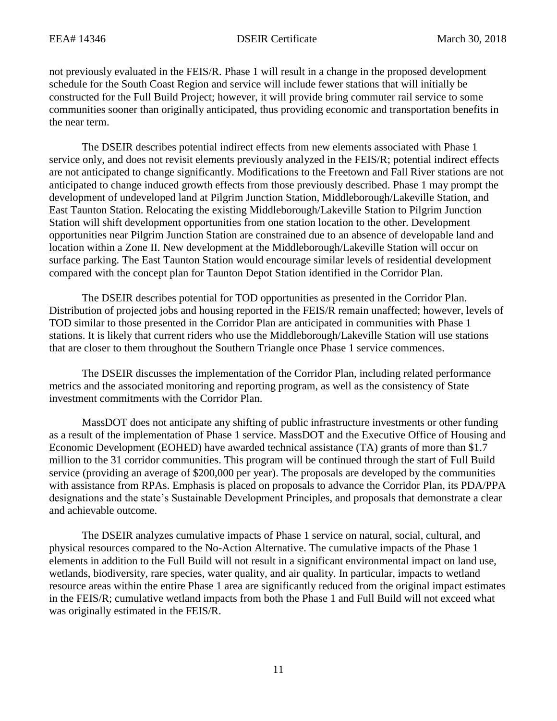not previously evaluated in the FEIS/R. Phase 1 will result in a change in the proposed development schedule for the South Coast Region and service will include fewer stations that will initially be constructed for the Full Build Project; however, it will provide bring commuter rail service to some communities sooner than originally anticipated, thus providing economic and transportation benefits in the near term.

The DSEIR describes potential indirect effects from new elements associated with Phase 1 service only, and does not revisit elements previously analyzed in the FEIS/R; potential indirect effects are not anticipated to change significantly. Modifications to the Freetown and Fall River stations are not anticipated to change induced growth effects from those previously described. Phase 1 may prompt the development of undeveloped land at Pilgrim Junction Station, Middleborough/Lakeville Station, and East Taunton Station. Relocating the existing Middleborough/Lakeville Station to Pilgrim Junction Station will shift development opportunities from one station location to the other. Development opportunities near Pilgrim Junction Station are constrained due to an absence of developable land and location within a Zone II. New development at the Middleborough/Lakeville Station will occur on surface parking. The East Taunton Station would encourage similar levels of residential development compared with the concept plan for Taunton Depot Station identified in the Corridor Plan.

The DSEIR describes potential for TOD opportunities as presented in the Corridor Plan. Distribution of projected jobs and housing reported in the FEIS/R remain unaffected; however, levels of TOD similar to those presented in the Corridor Plan are anticipated in communities with Phase 1 stations. It is likely that current riders who use the Middleborough/Lakeville Station will use stations that are closer to them throughout the Southern Triangle once Phase 1 service commences.

The DSEIR discusses the implementation of the Corridor Plan, including related performance metrics and the associated monitoring and reporting program, as well as the consistency of State investment commitments with the Corridor Plan.

MassDOT does not anticipate any shifting of public infrastructure investments or other funding as a result of the implementation of Phase 1 service. MassDOT and the Executive Office of Housing and Economic Development (EOHED) have awarded technical assistance (TA) grants of more than \$1.7 million to the 31 corridor communities. This program will be continued through the start of Full Build service (providing an average of \$200,000 per year). The proposals are developed by the communities with assistance from RPAs. Emphasis is placed on proposals to advance the Corridor Plan, its PDA/PPA designations and the state's Sustainable Development Principles, and proposals that demonstrate a clear and achievable outcome.

The DSEIR analyzes cumulative impacts of Phase 1 service on natural, social, cultural, and physical resources compared to the No-Action Alternative. The cumulative impacts of the Phase 1 elements in addition to the Full Build will not result in a significant environmental impact on land use, wetlands, biodiversity, rare species, water quality, and air quality. In particular, impacts to wetland resource areas within the entire Phase 1 area are significantly reduced from the original impact estimates in the FEIS/R; cumulative wetland impacts from both the Phase 1 and Full Build will not exceed what was originally estimated in the FEIS/R.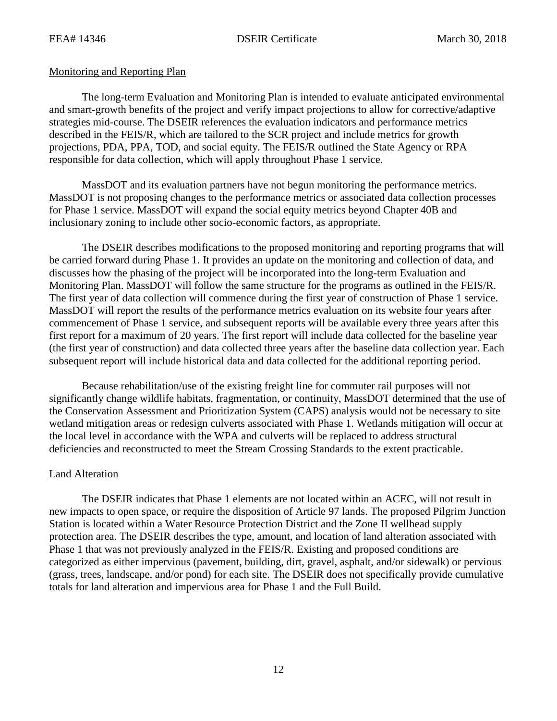# Monitoring and Reporting Plan

The long-term Evaluation and Monitoring Plan is intended to evaluate anticipated environmental and smart-growth benefits of the project and verify impact projections to allow for corrective/adaptive strategies mid-course. The DSEIR references the evaluation indicators and performance metrics described in the FEIS/R, which are tailored to the SCR project and include metrics for growth projections, PDA, PPA, TOD, and social equity. The FEIS/R outlined the State Agency or RPA responsible for data collection, which will apply throughout Phase 1 service.

MassDOT and its evaluation partners have not begun monitoring the performance metrics. MassDOT is not proposing changes to the performance metrics or associated data collection processes for Phase 1 service. MassDOT will expand the social equity metrics beyond Chapter 40B and inclusionary zoning to include other socio-economic factors, as appropriate.

The DSEIR describes modifications to the proposed monitoring and reporting programs that will be carried forward during Phase 1. It provides an update on the monitoring and collection of data, and discusses how the phasing of the project will be incorporated into the long-term Evaluation and Monitoring Plan. MassDOT will follow the same structure for the programs as outlined in the FEIS/R. The first year of data collection will commence during the first year of construction of Phase 1 service. MassDOT will report the results of the performance metrics evaluation on its website four years after commencement of Phase 1 service, and subsequent reports will be available every three years after this first report for a maximum of 20 years. The first report will include data collected for the baseline year (the first year of construction) and data collected three years after the baseline data collection year. Each subsequent report will include historical data and data collected for the additional reporting period.

Because rehabilitation/use of the existing freight line for commuter rail purposes will not significantly change wildlife habitats, fragmentation, or continuity, MassDOT determined that the use of the Conservation Assessment and Prioritization System (CAPS) analysis would not be necessary to site wetland mitigation areas or redesign culverts associated with Phase 1. Wetlands mitigation will occur at the local level in accordance with the WPA and culverts will be replaced to address structural deficiencies and reconstructed to meet the Stream Crossing Standards to the extent practicable.

# Land Alteration

The DSEIR indicates that Phase 1 elements are not located within an ACEC, will not result in new impacts to open space, or require the disposition of Article 97 lands. The proposed Pilgrim Junction Station is located within a Water Resource Protection District and the Zone II wellhead supply protection area. The DSEIR describes the type, amount, and location of land alteration associated with Phase 1 that was not previously analyzed in the FEIS/R. Existing and proposed conditions are categorized as either impervious (pavement, building, dirt, gravel, asphalt, and/or sidewalk) or pervious (grass, trees, landscape, and/or pond) for each site. The DSEIR does not specifically provide cumulative totals for land alteration and impervious area for Phase 1 and the Full Build.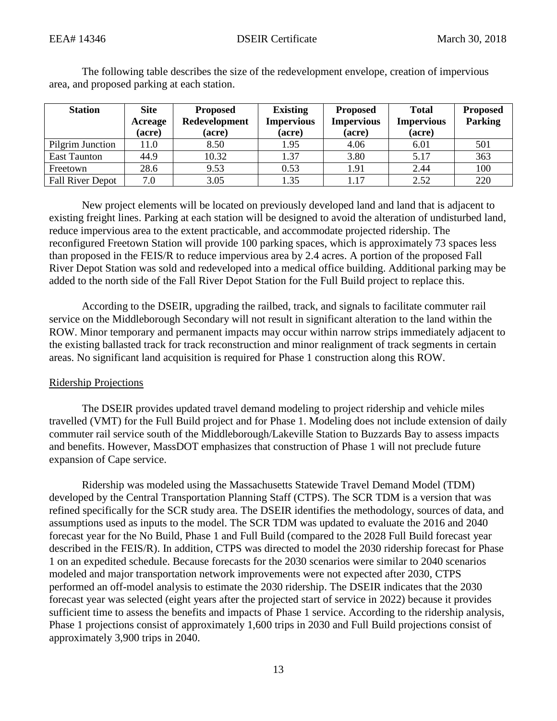| <b>Station</b>          | <b>Site</b><br>Acreage<br>(acre) | <b>Proposed</b><br>Redevelopment<br>(acre) | <b>Existing</b><br><b>Impervious</b><br>(acre) | <b>Proposed</b><br><b>Impervious</b><br>(acre) | <b>Total</b><br><b>Impervious</b><br>(acre) | <b>Proposed</b><br><b>Parking</b> |
|-------------------------|----------------------------------|--------------------------------------------|------------------------------------------------|------------------------------------------------|---------------------------------------------|-----------------------------------|
| Pilgrim Junction        | 11.0                             | 8.50                                       | 1.95                                           | 4.06                                           | 6.01                                        | 501                               |
| East Taunton            | 44.9                             | 10.32                                      | 1.37                                           | 3.80                                           | 5.17                                        | 363                               |
| Freetown                | 28.6                             | 9.53                                       | 0.53                                           | 1.91                                           | 2.44                                        | 100                               |
| <b>Fall River Depot</b> | 7.0                              | 3.05                                       | 1.35                                           | 1.17                                           | 2.52                                        | 220                               |

The following table describes the size of the redevelopment envelope, creation of impervious area, and proposed parking at each station.

New project elements will be located on previously developed land and land that is adjacent to existing freight lines. Parking at each station will be designed to avoid the alteration of undisturbed land, reduce impervious area to the extent practicable, and accommodate projected ridership. The reconfigured Freetown Station will provide 100 parking spaces, which is approximately 73 spaces less than proposed in the FEIS/R to reduce impervious area by 2.4 acres. A portion of the proposed Fall River Depot Station was sold and redeveloped into a medical office building. Additional parking may be added to the north side of the Fall River Depot Station for the Full Build project to replace this.

According to the DSEIR, upgrading the railbed, track, and signals to facilitate commuter rail service on the Middleborough Secondary will not result in significant alteration to the land within the ROW. Minor temporary and permanent impacts may occur within narrow strips immediately adjacent to the existing ballasted track for track reconstruction and minor realignment of track segments in certain areas. No significant land acquisition is required for Phase 1 construction along this ROW.

#### Ridership Projections

The DSEIR provides updated travel demand modeling to project ridership and vehicle miles travelled (VMT) for the Full Build project and for Phase 1. Modeling does not include extension of daily commuter rail service south of the Middleborough/Lakeville Station to Buzzards Bay to assess impacts and benefits. However, MassDOT emphasizes that construction of Phase 1 will not preclude future expansion of Cape service.

Ridership was modeled using the Massachusetts Statewide Travel Demand Model (TDM) developed by the Central Transportation Planning Staff (CTPS). The SCR TDM is a version that was refined specifically for the SCR study area. The DSEIR identifies the methodology, sources of data, and assumptions used as inputs to the model. The SCR TDM was updated to evaluate the 2016 and 2040 forecast year for the No Build, Phase 1 and Full Build (compared to the 2028 Full Build forecast year described in the FEIS/R). In addition, CTPS was directed to model the 2030 ridership forecast for Phase 1 on an expedited schedule. Because forecasts for the 2030 scenarios were similar to 2040 scenarios modeled and major transportation network improvements were not expected after 2030, CTPS performed an off-model analysis to estimate the 2030 ridership. The DSEIR indicates that the 2030 forecast year was selected (eight years after the projected start of service in 2022) because it provides sufficient time to assess the benefits and impacts of Phase 1 service. According to the ridership analysis, Phase 1 projections consist of approximately 1,600 trips in 2030 and Full Build projections consist of approximately 3,900 trips in 2040.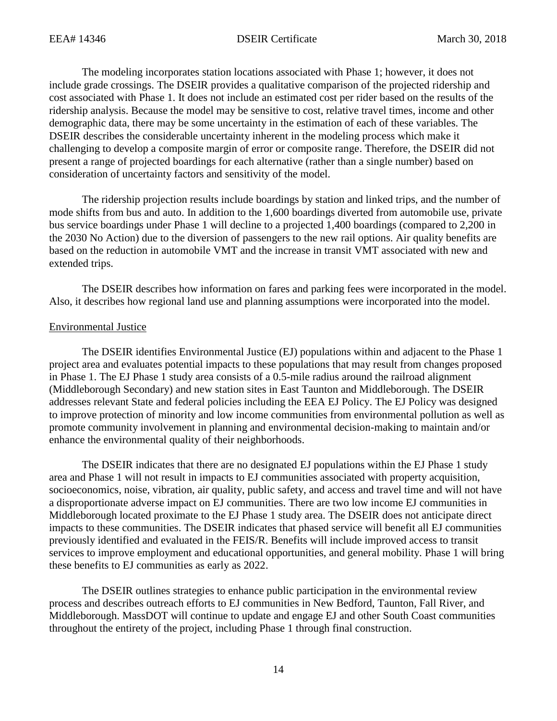The modeling incorporates station locations associated with Phase 1; however, it does not include grade crossings. The DSEIR provides a qualitative comparison of the projected ridership and cost associated with Phase 1. It does not include an estimated cost per rider based on the results of the ridership analysis. Because the model may be sensitive to cost, relative travel times, income and other demographic data, there may be some uncertainty in the estimation of each of these variables. The DSEIR describes the considerable uncertainty inherent in the modeling process which make it challenging to develop a composite margin of error or composite range. Therefore, the DSEIR did not present a range of projected boardings for each alternative (rather than a single number) based on consideration of uncertainty factors and sensitivity of the model.

The ridership projection results include boardings by station and linked trips, and the number of mode shifts from bus and auto. In addition to the 1,600 boardings diverted from automobile use, private bus service boardings under Phase 1 will decline to a projected 1,400 boardings (compared to 2,200 in the 2030 No Action) due to the diversion of passengers to the new rail options. Air quality benefits are based on the reduction in automobile VMT and the increase in transit VMT associated with new and extended trips.

The DSEIR describes how information on fares and parking fees were incorporated in the model. Also, it describes how regional land use and planning assumptions were incorporated into the model.

#### Environmental Justice

The DSEIR identifies Environmental Justice (EJ) populations within and adjacent to the Phase 1 project area and evaluates potential impacts to these populations that may result from changes proposed in Phase 1. The EJ Phase 1 study area consists of a 0.5-mile radius around the railroad alignment (Middleborough Secondary) and new station sites in East Taunton and Middleborough. The DSEIR addresses relevant State and federal policies including the EEA EJ Policy. The EJ Policy was designed to improve protection of minority and low income communities from environmental pollution as well as promote community involvement in planning and environmental decision-making to maintain and/or enhance the environmental quality of their neighborhoods.

The DSEIR indicates that there are no designated EJ populations within the EJ Phase 1 study area and Phase 1 will not result in impacts to EJ communities associated with property acquisition, socioeconomics, noise, vibration, air quality, public safety, and access and travel time and will not have a disproportionate adverse impact on EJ communities. There are two low income EJ communities in Middleborough located proximate to the EJ Phase 1 study area. The DSEIR does not anticipate direct impacts to these communities. The DSEIR indicates that phased service will benefit all EJ communities previously identified and evaluated in the FEIS/R. Benefits will include improved access to transit services to improve employment and educational opportunities, and general mobility. Phase 1 will bring these benefits to EJ communities as early as 2022.

The DSEIR outlines strategies to enhance public participation in the environmental review process and describes outreach efforts to EJ communities in New Bedford, Taunton, Fall River, and Middleborough. MassDOT will continue to update and engage EJ and other South Coast communities throughout the entirety of the project, including Phase 1 through final construction.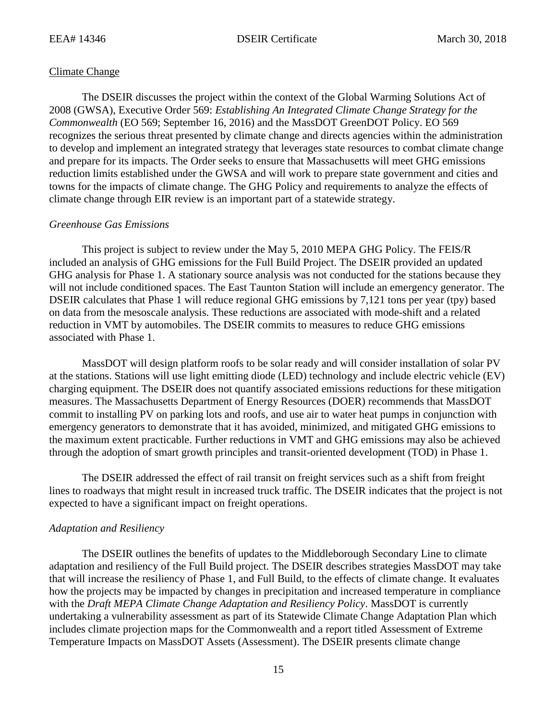#### Climate Change

The DSEIR discusses the project within the context of the Global Warming Solutions Act of 2008 (GWSA), Executive Order 569: *Establishing An Integrated Climate Change Strategy for the Commonwealth* (EO 569; September 16, 2016) and the MassDOT GreenDOT Policy. EO 569 recognizes the serious threat presented by climate change and directs agencies within the administration to develop and implement an integrated strategy that leverages state resources to combat climate change and prepare for its impacts. The Order seeks to ensure that Massachusetts will meet GHG emissions reduction limits established under the GWSA and will work to prepare state government and cities and towns for the impacts of climate change. The GHG Policy and requirements to analyze the effects of climate change through EIR review is an important part of a statewide strategy.

#### *Greenhouse Gas Emissions*

This project is subject to review under the May 5, 2010 MEPA GHG Policy. The FEIS/R included an analysis of GHG emissions for the Full Build Project. The DSEIR provided an updated GHG analysis for Phase 1. A stationary source analysis was not conducted for the stations because they will not include conditioned spaces. The East Taunton Station will include an emergency generator. The DSEIR calculates that Phase 1 will reduce regional GHG emissions by 7,121 tons per year (tpy) based on data from the mesoscale analysis. These reductions are associated with mode-shift and a related reduction in VMT by automobiles. The DSEIR commits to measures to reduce GHG emissions associated with Phase 1.

MassDOT will design platform roofs to be solar ready and will consider installation of solar PV at the stations. Stations will use light emitting diode (LED) technology and include electric vehicle (EV) charging equipment. The DSEIR does not quantify associated emissions reductions for these mitigation measures. The Massachusetts Department of Energy Resources (DOER) recommends that MassDOT commit to installing PV on parking lots and roofs, and use air to water heat pumps in conjunction with emergency generators to demonstrate that it has avoided, minimized, and mitigated GHG emissions to the maximum extent practicable. Further reductions in VMT and GHG emissions may also be achieved through the adoption of smart growth principles and transit-oriented development (TOD) in Phase 1.

The DSEIR addressed the effect of rail transit on freight services such as a shift from freight lines to roadways that might result in increased truck traffic. The DSEIR indicates that the project is not expected to have a significant impact on freight operations.

# *Adaptation and Resiliency*

The DSEIR outlines the benefits of updates to the Middleborough Secondary Line to climate adaptation and resiliency of the Full Build project. The DSEIR describes strategies MassDOT may take that will increase the resiliency of Phase 1, and Full Build, to the effects of climate change. It evaluates how the projects may be impacted by changes in precipitation and increased temperature in compliance with the *Draft MEPA Climate Change Adaptation and Resiliency Policy*. MassDOT is currently undertaking a vulnerability assessment as part of its Statewide Climate Change Adaptation Plan which includes climate projection maps for the Commonwealth and a report titled Assessment of Extreme Temperature Impacts on MassDOT Assets (Assessment). The DSEIR presents climate change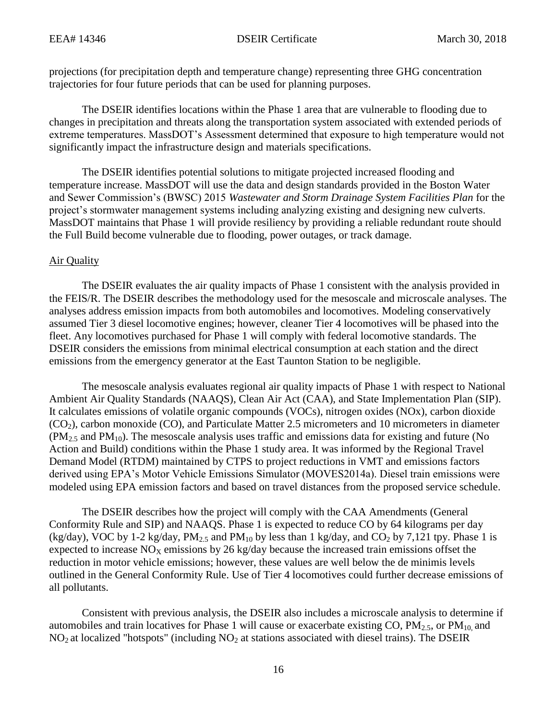projections (for precipitation depth and temperature change) representing three GHG concentration trajectories for four future periods that can be used for planning purposes.

The DSEIR identifies locations within the Phase 1 area that are vulnerable to flooding due to changes in precipitation and threats along the transportation system associated with extended periods of extreme temperatures. MassDOT's Assessment determined that exposure to high temperature would not significantly impact the infrastructure design and materials specifications.

The DSEIR identifies potential solutions to mitigate projected increased flooding and temperature increase. MassDOT will use the data and design standards provided in the Boston Water and Sewer Commission's (BWSC) 2015 *Wastewater and Storm Drainage System Facilities Plan* for the project's stormwater management systems including analyzing existing and designing new culverts. MassDOT maintains that Phase 1 will provide resiliency by providing a reliable redundant route should the Full Build become vulnerable due to flooding, power outages, or track damage.

# Air Quality

The DSEIR evaluates the air quality impacts of Phase 1 consistent with the analysis provided in the FEIS/R. The DSEIR describes the methodology used for the mesoscale and microscale analyses. The analyses address emission impacts from both automobiles and locomotives. Modeling conservatively assumed Tier 3 diesel locomotive engines; however, cleaner Tier 4 locomotives will be phased into the fleet. Any locomotives purchased for Phase 1 will comply with federal locomotive standards. The DSEIR considers the emissions from minimal electrical consumption at each station and the direct emissions from the emergency generator at the East Taunton Station to be negligible.

The mesoscale analysis evaluates regional air quality impacts of Phase 1 with respect to National Ambient Air Quality Standards (NAAQS), Clean Air Act (CAA), and State Implementation Plan (SIP). It calculates emissions of volatile organic compounds (VOCs), nitrogen oxides (NOx), carbon dioxide  $(CO<sub>2</sub>)$ , carbon monoxide  $(CO)$ , and Particulate Matter 2.5 micrometers and 10 micrometers in diameter  $(PM<sub>2.5</sub>$  and PM<sub>10</sub>). The mesoscale analysis uses traffic and emissions data for existing and future (No Action and Build) conditions within the Phase 1 study area. It was informed by the Regional Travel Demand Model (RTDM) maintained by CTPS to project reductions in VMT and emissions factors derived using EPA's Motor Vehicle Emissions Simulator (MOVES2014a). Diesel train emissions were modeled using EPA emission factors and based on travel distances from the proposed service schedule.

The DSEIR describes how the project will comply with the CAA Amendments (General Conformity Rule and SIP) and NAAQS. Phase 1 is expected to reduce CO by 64 kilograms per day (kg/day), VOC by 1-2 kg/day,  $PM<sub>2.5</sub>$  and  $PM<sub>10</sub>$  by less than 1 kg/day, and CO<sub>2</sub> by 7,121 tpy. Phase 1 is expected to increase  $NO<sub>x</sub>$  emissions by 26 kg/day because the increased train emissions offset the reduction in motor vehicle emissions; however, these values are well below the de minimis levels outlined in the General Conformity Rule. Use of Tier 4 locomotives could further decrease emissions of all pollutants.

Consistent with previous analysis, the DSEIR also includes a microscale analysis to determine if automobiles and train locatives for Phase 1 will cause or exacerbate existing CO,  $PM_{2.5}$ , or  $PM_{10}$  and  $NO<sub>2</sub>$  at localized "hotspots" (including  $NO<sub>2</sub>$  at stations associated with diesel trains). The DSEIR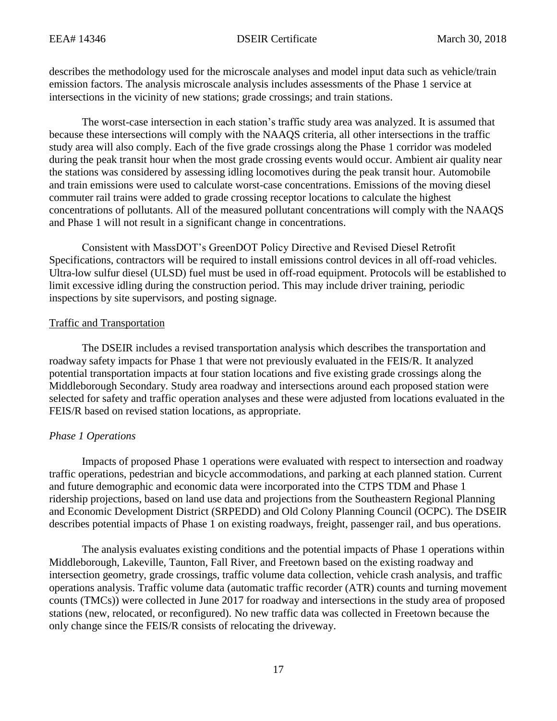describes the methodology used for the microscale analyses and model input data such as vehicle/train emission factors. The analysis microscale analysis includes assessments of the Phase 1 service at intersections in the vicinity of new stations; grade crossings; and train stations.

The worst-case intersection in each station's traffic study area was analyzed. It is assumed that because these intersections will comply with the NAAQS criteria, all other intersections in the traffic study area will also comply. Each of the five grade crossings along the Phase 1 corridor was modeled during the peak transit hour when the most grade crossing events would occur. Ambient air quality near the stations was considered by assessing idling locomotives during the peak transit hour. Automobile and train emissions were used to calculate worst-case concentrations. Emissions of the moving diesel commuter rail trains were added to grade crossing receptor locations to calculate the highest concentrations of pollutants. All of the measured pollutant concentrations will comply with the NAAQS and Phase 1 will not result in a significant change in concentrations.

Consistent with MassDOT's GreenDOT Policy Directive and Revised Diesel Retrofit Specifications, contractors will be required to install emissions control devices in all off-road vehicles. Ultra-low sulfur diesel (ULSD) fuel must be used in off-road equipment. Protocols will be established to limit excessive idling during the construction period. This may include driver training, periodic inspections by site supervisors, and posting signage.

# Traffic and Transportation

The DSEIR includes a revised transportation analysis which describes the transportation and roadway safety impacts for Phase 1 that were not previously evaluated in the FEIS/R. It analyzed potential transportation impacts at four station locations and five existing grade crossings along the Middleborough Secondary. Study area roadway and intersections around each proposed station were selected for safety and traffic operation analyses and these were adjusted from locations evaluated in the FEIS/R based on revised station locations, as appropriate.

# *Phase 1 Operations*

Impacts of proposed Phase 1 operations were evaluated with respect to intersection and roadway traffic operations, pedestrian and bicycle accommodations, and parking at each planned station. Current and future demographic and economic data were incorporated into the CTPS TDM and Phase 1 ridership projections, based on land use data and projections from the Southeastern Regional Planning and Economic Development District (SRPEDD) and Old Colony Planning Council (OCPC). The DSEIR describes potential impacts of Phase 1 on existing roadways, freight, passenger rail, and bus operations.

The analysis evaluates existing conditions and the potential impacts of Phase 1 operations within Middleborough, Lakeville, Taunton, Fall River, and Freetown based on the existing roadway and intersection geometry, grade crossings, traffic volume data collection, vehicle crash analysis, and traffic operations analysis. Traffic volume data (automatic traffic recorder (ATR) counts and turning movement counts (TMCs)) were collected in June 2017 for roadway and intersections in the study area of proposed stations (new, relocated, or reconfigured). No new traffic data was collected in Freetown because the only change since the FEIS/R consists of relocating the driveway.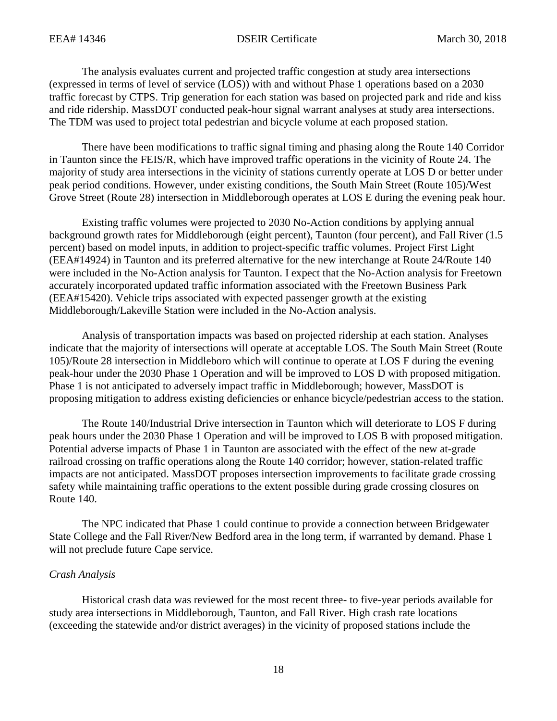The analysis evaluates current and projected traffic congestion at study area intersections (expressed in terms of level of service (LOS)) with and without Phase 1 operations based on a 2030 traffic forecast by CTPS. Trip generation for each station was based on projected park and ride and kiss and ride ridership. MassDOT conducted peak-hour signal warrant analyses at study area intersections. The TDM was used to project total pedestrian and bicycle volume at each proposed station.

There have been modifications to traffic signal timing and phasing along the Route 140 Corridor in Taunton since the FEIS/R, which have improved traffic operations in the vicinity of Route 24. The majority of study area intersections in the vicinity of stations currently operate at LOS D or better under peak period conditions. However, under existing conditions, the South Main Street (Route 105)/West Grove Street (Route 28) intersection in Middleborough operates at LOS E during the evening peak hour.

Existing traffic volumes were projected to 2030 No-Action conditions by applying annual background growth rates for Middleborough (eight percent), Taunton (four percent), and Fall River (1.5 percent) based on model inputs, in addition to project-specific traffic volumes. Project First Light (EEA#14924) in Taunton and its preferred alternative for the new interchange at Route 24/Route 140 were included in the No-Action analysis for Taunton. I expect that the No-Action analysis for Freetown accurately incorporated updated traffic information associated with the Freetown Business Park (EEA#15420). Vehicle trips associated with expected passenger growth at the existing Middleborough/Lakeville Station were included in the No-Action analysis.

Analysis of transportation impacts was based on projected ridership at each station. Analyses indicate that the majority of intersections will operate at acceptable LOS. The South Main Street (Route 105)/Route 28 intersection in Middleboro which will continue to operate at LOS F during the evening peak-hour under the 2030 Phase 1 Operation and will be improved to LOS D with proposed mitigation. Phase 1 is not anticipated to adversely impact traffic in Middleborough; however, MassDOT is proposing mitigation to address existing deficiencies or enhance bicycle/pedestrian access to the station.

The Route 140/Industrial Drive intersection in Taunton which will deteriorate to LOS F during peak hours under the 2030 Phase 1 Operation and will be improved to LOS B with proposed mitigation. Potential adverse impacts of Phase 1 in Taunton are associated with the effect of the new at-grade railroad crossing on traffic operations along the Route 140 corridor; however, station-related traffic impacts are not anticipated. MassDOT proposes intersection improvements to facilitate grade crossing safety while maintaining traffic operations to the extent possible during grade crossing closures on Route 140.

The NPC indicated that Phase 1 could continue to provide a connection between Bridgewater State College and the Fall River/New Bedford area in the long term, if warranted by demand. Phase 1 will not preclude future Cape service.

# *Crash Analysis*

Historical crash data was reviewed for the most recent three- to five-year periods available for study area intersections in Middleborough, Taunton, and Fall River. High crash rate locations (exceeding the statewide and/or district averages) in the vicinity of proposed stations include the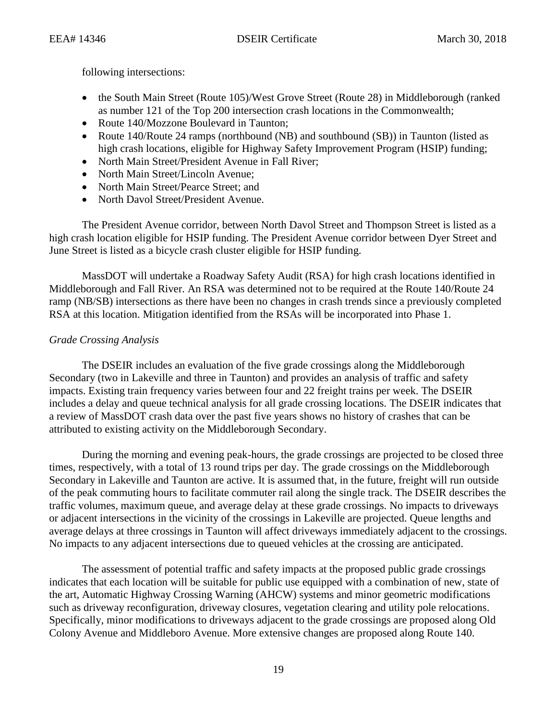following intersections:

- the South Main Street (Route 105)/West Grove Street (Route 28) in Middleborough (ranked as number 121 of the Top 200 intersection crash locations in the Commonwealth;
- Route 140/Mozzone Boulevard in Taunton;
- Route 140/Route 24 ramps (northbound (NB) and southbound (SB)) in Taunton (listed as high crash locations, eligible for Highway Safety Improvement Program (HSIP) funding;
- North Main Street/President Avenue in Fall River;
- North Main Street/Lincoln Avenue;
- North Main Street/Pearce Street: and
- North Davol Street/President Avenue.

The President Avenue corridor, between North Davol Street and Thompson Street is listed as a high crash location eligible for HSIP funding. The President Avenue corridor between Dyer Street and June Street is listed as a bicycle crash cluster eligible for HSIP funding.

MassDOT will undertake a Roadway Safety Audit (RSA) for high crash locations identified in Middleborough and Fall River. An RSA was determined not to be required at the Route 140/Route 24 ramp (NB/SB) intersections as there have been no changes in crash trends since a previously completed RSA at this location. Mitigation identified from the RSAs will be incorporated into Phase 1.

# *Grade Crossing Analysis*

The DSEIR includes an evaluation of the five grade crossings along the Middleborough Secondary (two in Lakeville and three in Taunton) and provides an analysis of traffic and safety impacts. Existing train frequency varies between four and 22 freight trains per week. The DSEIR includes a delay and queue technical analysis for all grade crossing locations. The DSEIR indicates that a review of MassDOT crash data over the past five years shows no history of crashes that can be attributed to existing activity on the Middleborough Secondary.

During the morning and evening peak-hours, the grade crossings are projected to be closed three times, respectively, with a total of 13 round trips per day. The grade crossings on the Middleborough Secondary in Lakeville and Taunton are active. It is assumed that, in the future, freight will run outside of the peak commuting hours to facilitate commuter rail along the single track. The DSEIR describes the traffic volumes, maximum queue, and average delay at these grade crossings. No impacts to driveways or adjacent intersections in the vicinity of the crossings in Lakeville are projected. Queue lengths and average delays at three crossings in Taunton will affect driveways immediately adjacent to the crossings. No impacts to any adjacent intersections due to queued vehicles at the crossing are anticipated.

The assessment of potential traffic and safety impacts at the proposed public grade crossings indicates that each location will be suitable for public use equipped with a combination of new, state of the art, Automatic Highway Crossing Warning (AHCW) systems and minor geometric modifications such as driveway reconfiguration, driveway closures, vegetation clearing and utility pole relocations. Specifically, minor modifications to driveways adjacent to the grade crossings are proposed along Old Colony Avenue and Middleboro Avenue. More extensive changes are proposed along Route 140.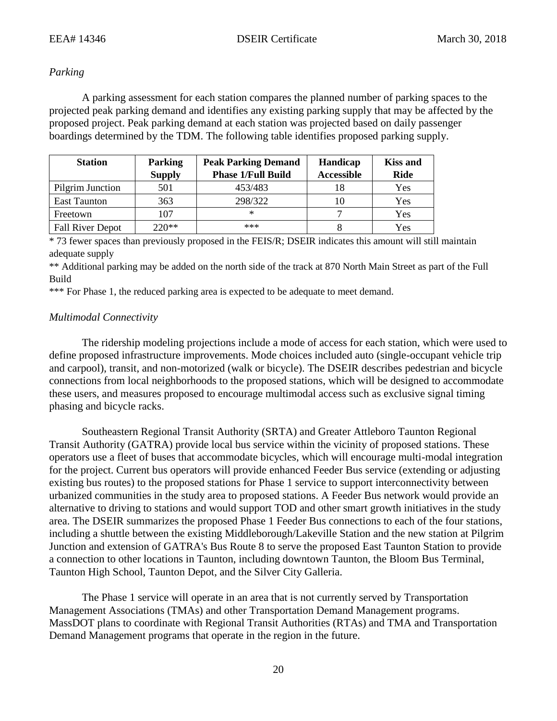# *Parking*

A parking assessment for each station compares the planned number of parking spaces to the projected peak parking demand and identifies any existing parking supply that may be affected by the proposed project. Peak parking demand at each station was projected based on daily passenger boardings determined by the TDM. The following table identifies proposed parking supply.

| <b>Station</b>          | <b>Parking</b><br><b>Peak Parking Demand</b> |                           | Handicap          | <b>Kiss and</b> |
|-------------------------|----------------------------------------------|---------------------------|-------------------|-----------------|
|                         | <b>Supply</b>                                | <b>Phase 1/Full Build</b> | <b>Accessible</b> | <b>Ride</b>     |
| Pilgrim Junction        | 501                                          | 453/483                   | 18                | Yes             |
| <b>East Taunton</b>     | 363                                          | 298/322                   | 10                | Yes             |
| Freetown                | 107                                          | $^{\ast}$                 |                   | Yes             |
| <b>Fall River Depot</b> | $220**$                                      | ***                       |                   | Yes             |

\* 73 fewer spaces than previously proposed in the FEIS/R; DSEIR indicates this amount will still maintain adequate supply

\*\* Additional parking may be added on the north side of the track at 870 North Main Street as part of the Full Build

\*\*\* For Phase 1, the reduced parking area is expected to be adequate to meet demand.

# *Multimodal Connectivity*

The ridership modeling projections include a mode of access for each station, which were used to define proposed infrastructure improvements. Mode choices included auto (single-occupant vehicle trip and carpool), transit, and non-motorized (walk or bicycle). The DSEIR describes pedestrian and bicycle connections from local neighborhoods to the proposed stations, which will be designed to accommodate these users, and measures proposed to encourage multimodal access such as exclusive signal timing phasing and bicycle racks.

Southeastern Regional Transit Authority (SRTA) and Greater Attleboro Taunton Regional Transit Authority (GATRA) provide local bus service within the vicinity of proposed stations. These operators use a fleet of buses that accommodate bicycles, which will encourage multi-modal integration for the project. Current bus operators will provide enhanced Feeder Bus service (extending or adjusting existing bus routes) to the proposed stations for Phase 1 service to support interconnectivity between urbanized communities in the study area to proposed stations. A Feeder Bus network would provide an alternative to driving to stations and would support TOD and other smart growth initiatives in the study area. The DSEIR summarizes the proposed Phase 1 Feeder Bus connections to each of the four stations, including a shuttle between the existing Middleborough/Lakeville Station and the new station at Pilgrim Junction and extension of GATRA's Bus Route 8 to serve the proposed East Taunton Station to provide a connection to other locations in Taunton, including downtown Taunton, the Bloom Bus Terminal, Taunton High School, Taunton Depot, and the Silver City Galleria.

The Phase 1 service will operate in an area that is not currently served by Transportation Management Associations (TMAs) and other Transportation Demand Management programs. MassDOT plans to coordinate with Regional Transit Authorities (RTAs) and TMA and Transportation Demand Management programs that operate in the region in the future.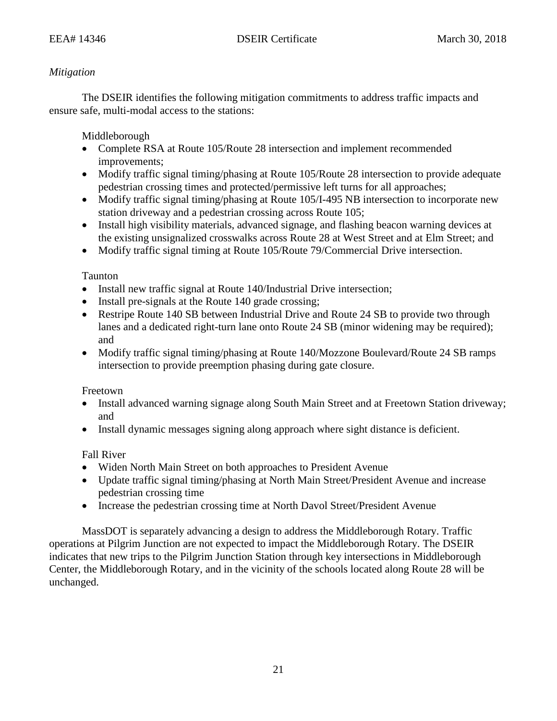# *Mitigation*

The DSEIR identifies the following mitigation commitments to address traffic impacts and ensure safe, multi-modal access to the stations:

Middleborough

- Complete RSA at Route 105/Route 28 intersection and implement recommended improvements;
- Modify traffic signal timing/phasing at Route 105/Route 28 intersection to provide adequate pedestrian crossing times and protected/permissive left turns for all approaches;
- Modify traffic signal timing/phasing at Route 105/I-495 NB intersection to incorporate new station driveway and a pedestrian crossing across Route 105;
- Install high visibility materials, advanced signage, and flashing beacon warning devices at the existing unsignalized crosswalks across Route 28 at West Street and at Elm Street; and
- Modify traffic signal timing at Route 105/Route 79/Commercial Drive intersection.

Taunton

- Install new traffic signal at Route 140/Industrial Drive intersection;
- Install pre-signals at the Route 140 grade crossing;
- Restripe Route 140 SB between Industrial Drive and Route 24 SB to provide two through lanes and a dedicated right-turn lane onto Route 24 SB (minor widening may be required); and
- Modify traffic signal timing/phasing at Route 140/Mozzone Boulevard/Route 24 SB ramps intersection to provide preemption phasing during gate closure.

Freetown

- Install advanced warning signage along South Main Street and at Freetown Station driveway; and
- Install dynamic messages signing along approach where sight distance is deficient.

Fall River

- Widen North Main Street on both approaches to President Avenue
- Update traffic signal timing/phasing at North Main Street/President Avenue and increase pedestrian crossing time
- Increase the pedestrian crossing time at North Davol Street/President Avenue

MassDOT is separately advancing a design to address the Middleborough Rotary. Traffic operations at Pilgrim Junction are not expected to impact the Middleborough Rotary. The DSEIR indicates that new trips to the Pilgrim Junction Station through key intersections in Middleborough Center, the Middleborough Rotary, and in the vicinity of the schools located along Route 28 will be unchanged.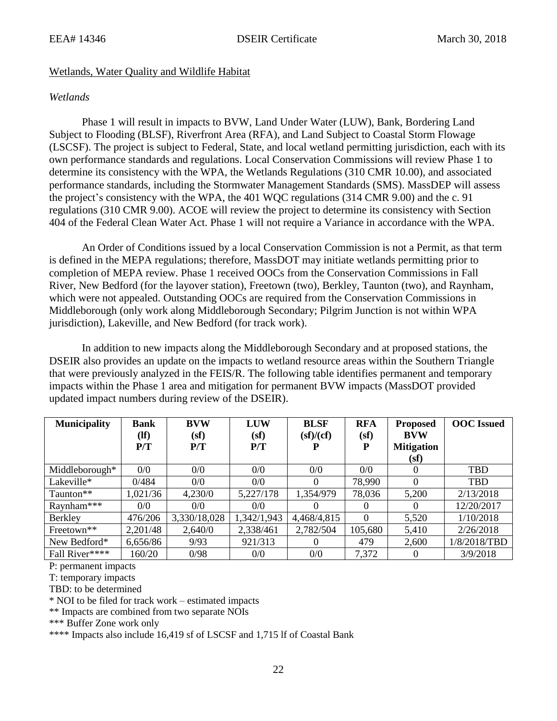# Wetlands, Water Quality and Wildlife Habitat

# *Wetlands*

Phase 1 will result in impacts to BVW, Land Under Water (LUW), Bank, Bordering Land Subject to Flooding (BLSF), Riverfront Area (RFA), and Land Subject to Coastal Storm Flowage (LSCSF). The project is subject to Federal, State, and local wetland permitting jurisdiction, each with its own performance standards and regulations. Local Conservation Commissions will review Phase 1 to determine its consistency with the WPA, the Wetlands Regulations (310 CMR 10.00), and associated performance standards, including the Stormwater Management Standards (SMS). MassDEP will assess the project's consistency with the WPA, the 401 WQC regulations (314 CMR 9.00) and the c. 91 regulations (310 CMR 9.00). ACOE will review the project to determine its consistency with Section 404 of the Federal Clean Water Act. Phase 1 will not require a Variance in accordance with the WPA.

An Order of Conditions issued by a local Conservation Commission is not a Permit, as that term is defined in the MEPA regulations; therefore, MassDOT may initiate wetlands permitting prior to completion of MEPA review. Phase 1 received OOCs from the Conservation Commissions in Fall River, New Bedford (for the layover station), Freetown (two), Berkley, Taunton (two), and Raynham, which were not appealed. Outstanding OOCs are required from the Conservation Commissions in Middleborough (only work along Middleborough Secondary; Pilgrim Junction is not within WPA jurisdiction), Lakeville, and New Bedford (for track work).

In addition to new impacts along the Middleborough Secondary and at proposed stations, the DSEIR also provides an update on the impacts to wetland resource areas within the Southern Triangle that were previously analyzed in the FEIS/R. The following table identifies permanent and temporary impacts within the Phase 1 area and mitigation for permanent BVW impacts (MassDOT provided updated impact numbers during review of the DSEIR).

| <b>Municipality</b>    | <b>Bank</b>     | <b>BVW</b>   | <b>LUW</b>  | <b>BLSF</b> | <b>RFA</b> | <b>Proposed</b>   | <b>OOC</b> Issued |
|------------------------|-----------------|--------------|-------------|-------------|------------|-------------------|-------------------|
|                        | $(\mathbf{If})$ | (sf)         | (sf)        | sf)/(cf)    | (sf)       | <b>BVW</b>        |                   |
|                        | P/T             | P/T          | P/T         |             | Р          | <b>Mitigation</b> |                   |
|                        |                 |              |             |             |            | (sf)              |                   |
| Middleborough*         | 0/0             | 0/0          | 0/0         | 0/0         | 0/0        | $\theta$          | <b>TBD</b>        |
| Lakeville*             | 0/484           | 0/0          | 0/0         | 0           | 78,990     | $\Omega$          | <b>TBD</b>        |
| Taunton**              | 1,021/36        | 4,230/0      | 5,227/178   | 1,354/979   | 78,036     | 5,200             | 2/13/2018         |
| Raynham***             | 0/0             | 0/0          | 0/0         |             | $\theta$   |                   | 12/20/2017        |
| Berkley                | 476/206         | 3,330/18,028 | 1,342/1,943 | 4,468/4,815 | 0          | 5,520             | 1/10/2018         |
| Freetown <sup>**</sup> | 2,201/48        | 2,640/0      | 2,338/461   | 2,782/504   | 105,680    | 5,410             | 2/26/2018         |
| New Bedford*           | 6,656/86        | 9/93         | 921/313     | 0           | 479        | 2,600             | 1/8/2018/TBD      |
| Fall River****         | 160/20          | 0/98         | 0/0         | 0/0         | 7,372      |                   | 3/9/2018          |

P: permanent impacts

T: temporary impacts

TBD: to be determined

\* NOI to be filed for track work – estimated impacts

\*\* Impacts are combined from two separate NOIs

\*\*\* Buffer Zone work only

\*\*\*\* Impacts also include 16,419 sf of LSCSF and 1,715 lf of Coastal Bank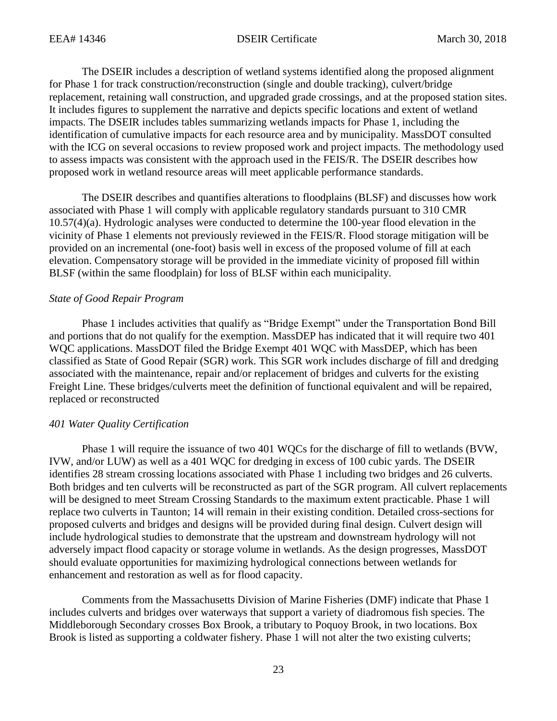The DSEIR includes a description of wetland systems identified along the proposed alignment for Phase 1 for track construction/reconstruction (single and double tracking), culvert/bridge replacement, retaining wall construction, and upgraded grade crossings, and at the proposed station sites. It includes figures to supplement the narrative and depicts specific locations and extent of wetland impacts. The DSEIR includes tables summarizing wetlands impacts for Phase 1, including the identification of cumulative impacts for each resource area and by municipality. MassDOT consulted with the ICG on several occasions to review proposed work and project impacts. The methodology used to assess impacts was consistent with the approach used in the FEIS/R. The DSEIR describes how proposed work in wetland resource areas will meet applicable performance standards.

The DSEIR describes and quantifies alterations to floodplains (BLSF) and discusses how work associated with Phase 1 will comply with applicable regulatory standards pursuant to 310 CMR 10.57(4)(a). Hydrologic analyses were conducted to determine the 100-year flood elevation in the vicinity of Phase 1 elements not previously reviewed in the FEIS/R. Flood storage mitigation will be provided on an incremental (one-foot) basis well in excess of the proposed volume of fill at each elevation. Compensatory storage will be provided in the immediate vicinity of proposed fill within BLSF (within the same floodplain) for loss of BLSF within each municipality.

#### *State of Good Repair Program*

Phase 1 includes activities that qualify as "Bridge Exempt" under the Transportation Bond Bill and portions that do not qualify for the exemption. MassDEP has indicated that it will require two 401 WQC applications. MassDOT filed the Bridge Exempt 401 WQC with MassDEP, which has been classified as State of Good Repair (SGR) work. This SGR work includes discharge of fill and dredging associated with the maintenance, repair and/or replacement of bridges and culverts for the existing Freight Line. These bridges/culverts meet the definition of functional equivalent and will be repaired, replaced or reconstructed

# *401 Water Quality Certification*

Phase 1 will require the issuance of two 401 WQCs for the discharge of fill to wetlands (BVW, IVW, and/or LUW) as well as a 401 WQC for dredging in excess of 100 cubic yards. The DSEIR identifies 28 stream crossing locations associated with Phase 1 including two bridges and 26 culverts. Both bridges and ten culverts will be reconstructed as part of the SGR program. All culvert replacements will be designed to meet Stream Crossing Standards to the maximum extent practicable. Phase 1 will replace two culverts in Taunton; 14 will remain in their existing condition. Detailed cross-sections for proposed culverts and bridges and designs will be provided during final design. Culvert design will include hydrological studies to demonstrate that the upstream and downstream hydrology will not adversely impact flood capacity or storage volume in wetlands. As the design progresses, MassDOT should evaluate opportunities for maximizing hydrological connections between wetlands for enhancement and restoration as well as for flood capacity.

Comments from the Massachusetts Division of Marine Fisheries (DMF) indicate that Phase 1 includes culverts and bridges over waterways that support a variety of diadromous fish species. The Middleborough Secondary crosses Box Brook, a tributary to Poquoy Brook, in two locations. Box Brook is listed as supporting a coldwater fishery. Phase 1 will not alter the two existing culverts;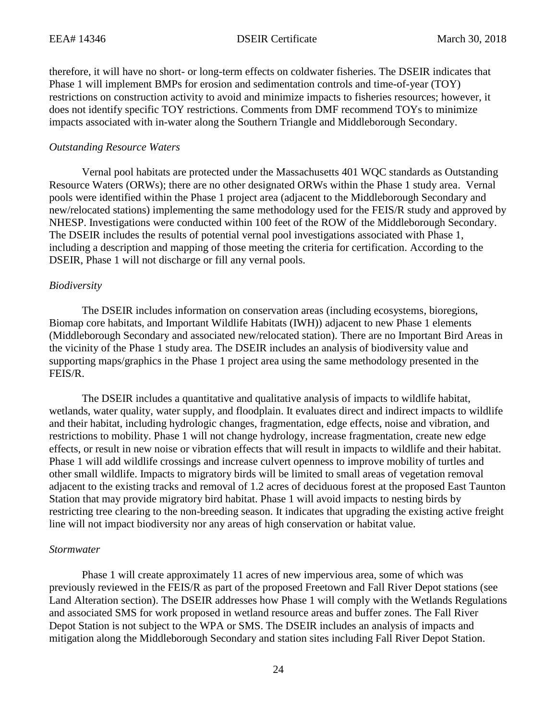therefore, it will have no short- or long-term effects on coldwater fisheries. The DSEIR indicates that Phase 1 will implement BMPs for erosion and sedimentation controls and time-of-year (TOY) restrictions on construction activity to avoid and minimize impacts to fisheries resources; however, it does not identify specific TOY restrictions. Comments from DMF recommend TOYs to minimize impacts associated with in-water along the Southern Triangle and Middleborough Secondary.

#### *Outstanding Resource Waters*

Vernal pool habitats are protected under the Massachusetts 401 WQC standards as Outstanding Resource Waters (ORWs); there are no other designated ORWs within the Phase 1 study area. Vernal pools were identified within the Phase 1 project area (adjacent to the Middleborough Secondary and new/relocated stations) implementing the same methodology used for the FEIS/R study and approved by NHESP. Investigations were conducted within 100 feet of the ROW of the Middleborough Secondary. The DSEIR includes the results of potential vernal pool investigations associated with Phase 1, including a description and mapping of those meeting the criteria for certification. According to the DSEIR, Phase 1 will not discharge or fill any vernal pools.

#### *Biodiversity*

The DSEIR includes information on conservation areas (including ecosystems, bioregions, Biomap core habitats, and Important Wildlife Habitats (IWH)) adjacent to new Phase 1 elements (Middleborough Secondary and associated new/relocated station). There are no Important Bird Areas in the vicinity of the Phase 1 study area. The DSEIR includes an analysis of biodiversity value and supporting maps/graphics in the Phase 1 project area using the same methodology presented in the FEIS/R.

The DSEIR includes a quantitative and qualitative analysis of impacts to wildlife habitat, wetlands, water quality, water supply, and floodplain. It evaluates direct and indirect impacts to wildlife and their habitat, including hydrologic changes, fragmentation, edge effects, noise and vibration, and restrictions to mobility. Phase 1 will not change hydrology, increase fragmentation, create new edge effects, or result in new noise or vibration effects that will result in impacts to wildlife and their habitat. Phase 1 will add wildlife crossings and increase culvert openness to improve mobility of turtles and other small wildlife. Impacts to migratory birds will be limited to small areas of vegetation removal adjacent to the existing tracks and removal of 1.2 acres of deciduous forest at the proposed East Taunton Station that may provide migratory bird habitat. Phase 1 will avoid impacts to nesting birds by restricting tree clearing to the non-breeding season. It indicates that upgrading the existing active freight line will not impact biodiversity nor any areas of high conservation or habitat value.

#### *Stormwater*

Phase 1 will create approximately 11 acres of new impervious area, some of which was previously reviewed in the FEIS/R as part of the proposed Freetown and Fall River Depot stations (see Land Alteration section). The DSEIR addresses how Phase 1 will comply with the Wetlands Regulations and associated SMS for work proposed in wetland resource areas and buffer zones. The Fall River Depot Station is not subject to the WPA or SMS. The DSEIR includes an analysis of impacts and mitigation along the Middleborough Secondary and station sites including Fall River Depot Station.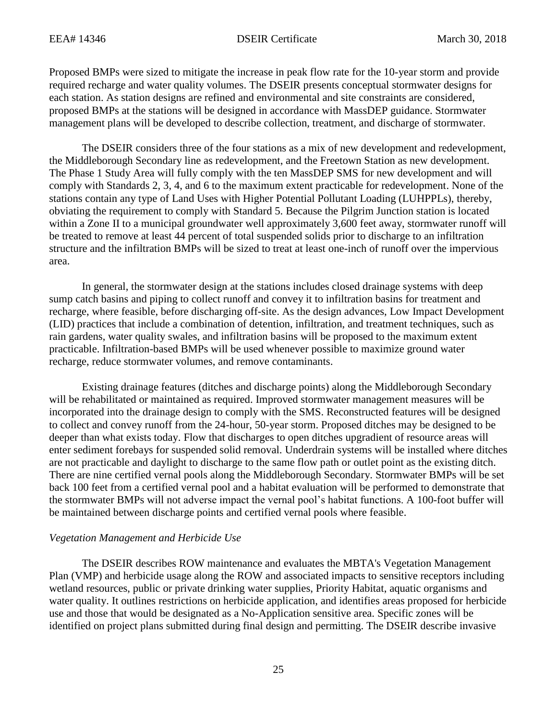Proposed BMPs were sized to mitigate the increase in peak flow rate for the 10-year storm and provide required recharge and water quality volumes. The DSEIR presents conceptual stormwater designs for each station. As station designs are refined and environmental and site constraints are considered, proposed BMPs at the stations will be designed in accordance with MassDEP guidance. Stormwater management plans will be developed to describe collection, treatment, and discharge of stormwater.

The DSEIR considers three of the four stations as a mix of new development and redevelopment, the Middleborough Secondary line as redevelopment, and the Freetown Station as new development. The Phase 1 Study Area will fully comply with the ten MassDEP SMS for new development and will comply with Standards 2, 3, 4, and 6 to the maximum extent practicable for redevelopment. None of the stations contain any type of Land Uses with Higher Potential Pollutant Loading (LUHPPLs), thereby, obviating the requirement to comply with Standard 5. Because the Pilgrim Junction station is located within a Zone II to a municipal groundwater well approximately 3,600 feet away, stormwater runoff will be treated to remove at least 44 percent of total suspended solids prior to discharge to an infiltration structure and the infiltration BMPs will be sized to treat at least one-inch of runoff over the impervious area.

In general, the stormwater design at the stations includes closed drainage systems with deep sump catch basins and piping to collect runoff and convey it to infiltration basins for treatment and recharge, where feasible, before discharging off-site. As the design advances, Low Impact Development (LID) practices that include a combination of detention, infiltration, and treatment techniques, such as rain gardens, water quality swales, and infiltration basins will be proposed to the maximum extent practicable. Infiltration-based BMPs will be used whenever possible to maximize ground water recharge, reduce stormwater volumes, and remove contaminants.

Existing drainage features (ditches and discharge points) along the Middleborough Secondary will be rehabilitated or maintained as required. Improved stormwater management measures will be incorporated into the drainage design to comply with the SMS. Reconstructed features will be designed to collect and convey runoff from the 24-hour, 50-year storm. Proposed ditches may be designed to be deeper than what exists today. Flow that discharges to open ditches upgradient of resource areas will enter sediment forebays for suspended solid removal. Underdrain systems will be installed where ditches are not practicable and daylight to discharge to the same flow path or outlet point as the existing ditch. There are nine certified vernal pools along the Middleborough Secondary. Stormwater BMPs will be set back 100 feet from a certified vernal pool and a habitat evaluation will be performed to demonstrate that the stormwater BMPs will not adverse impact the vernal pool's habitat functions. A 100-foot buffer will be maintained between discharge points and certified vernal pools where feasible.

# *Vegetation Management and Herbicide Use*

The DSEIR describes ROW maintenance and evaluates the MBTA's Vegetation Management Plan (VMP) and herbicide usage along the ROW and associated impacts to sensitive receptors including wetland resources, public or private drinking water supplies, Priority Habitat, aquatic organisms and water quality. It outlines restrictions on herbicide application, and identifies areas proposed for herbicide use and those that would be designated as a No-Application sensitive area. Specific zones will be identified on project plans submitted during final design and permitting. The DSEIR describe invasive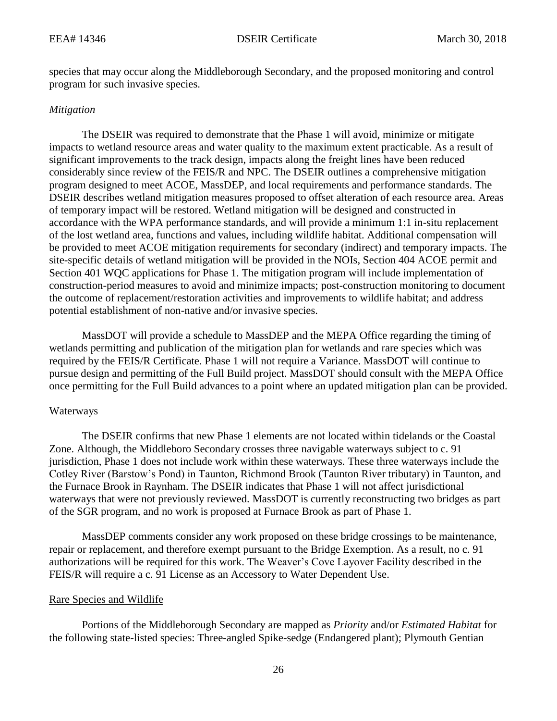species that may occur along the Middleborough Secondary, and the proposed monitoring and control program for such invasive species.

# *Mitigation*

The DSEIR was required to demonstrate that the Phase 1 will avoid, minimize or mitigate impacts to wetland resource areas and water quality to the maximum extent practicable. As a result of significant improvements to the track design, impacts along the freight lines have been reduced considerably since review of the FEIS/R and NPC. The DSEIR outlines a comprehensive mitigation program designed to meet ACOE, MassDEP, and local requirements and performance standards. The DSEIR describes wetland mitigation measures proposed to offset alteration of each resource area. Areas of temporary impact will be restored. Wetland mitigation will be designed and constructed in accordance with the WPA performance standards, and will provide a minimum 1:1 in-situ replacement of the lost wetland area, functions and values, including wildlife habitat. Additional compensation will be provided to meet ACOE mitigation requirements for secondary (indirect) and temporary impacts. The site-specific details of wetland mitigation will be provided in the NOIs, Section 404 ACOE permit and Section 401 WQC applications for Phase 1. The mitigation program will include implementation of construction-period measures to avoid and minimize impacts; post-construction monitoring to document the outcome of replacement/restoration activities and improvements to wildlife habitat; and address potential establishment of non-native and/or invasive species.

MassDOT will provide a schedule to MassDEP and the MEPA Office regarding the timing of wetlands permitting and publication of the mitigation plan for wetlands and rare species which was required by the FEIS/R Certificate. Phase 1 will not require a Variance. MassDOT will continue to pursue design and permitting of the Full Build project. MassDOT should consult with the MEPA Office once permitting for the Full Build advances to a point where an updated mitigation plan can be provided.

# Waterways

The DSEIR confirms that new Phase 1 elements are not located within tidelands or the Coastal Zone. Although, the Middleboro Secondary crosses three navigable waterways subject to c. 91 jurisdiction, Phase 1 does not include work within these waterways. These three waterways include the Cotley River (Barstow's Pond) in Taunton, Richmond Brook (Taunton River tributary) in Taunton, and the Furnace Brook in Raynham. The DSEIR indicates that Phase 1 will not affect jurisdictional waterways that were not previously reviewed. MassDOT is currently reconstructing two bridges as part of the SGR program, and no work is proposed at Furnace Brook as part of Phase 1.

MassDEP comments consider any work proposed on these bridge crossings to be maintenance, repair or replacement, and therefore exempt pursuant to the Bridge Exemption. As a result, no c. 91 authorizations will be required for this work. The Weaver's Cove Layover Facility described in the FEIS/R will require a c. 91 License as an Accessory to Water Dependent Use.

# Rare Species and Wildlife

Portions of the Middleborough Secondary are mapped as *Priority* and/or *Estimated Habitat* for the following state-listed species: Three-angled Spike-sedge (Endangered plant); Plymouth Gentian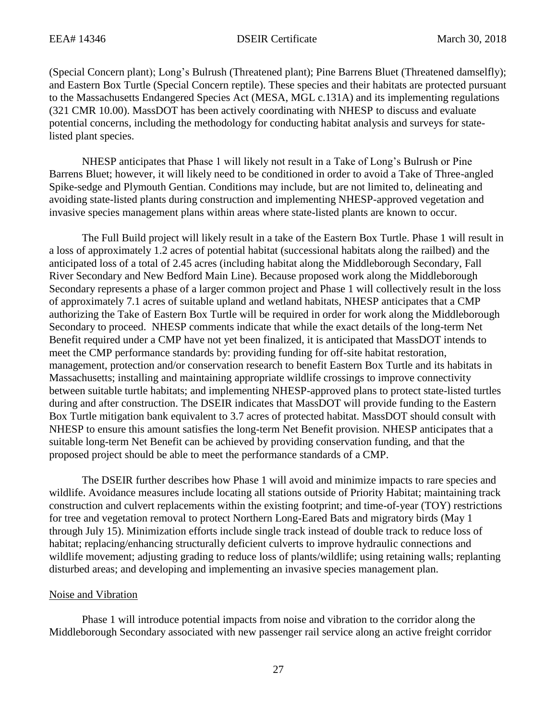(Special Concern plant); Long's Bulrush (Threatened plant); Pine Barrens Bluet (Threatened damselfly); and Eastern Box Turtle (Special Concern reptile). These species and their habitats are protected pursuant to the Massachusetts Endangered Species Act (MESA, MGL c.131A) and its implementing regulations (321 CMR 10.00). MassDOT has been actively coordinating with NHESP to discuss and evaluate potential concerns, including the methodology for conducting habitat analysis and surveys for statelisted plant species.

NHESP anticipates that Phase 1 will likely not result in a Take of Long's Bulrush or Pine Barrens Bluet; however, it will likely need to be conditioned in order to avoid a Take of Three-angled Spike-sedge and Plymouth Gentian. Conditions may include, but are not limited to, delineating and avoiding state-listed plants during construction and implementing NHESP-approved vegetation and invasive species management plans within areas where state-listed plants are known to occur.

The Full Build project will likely result in a take of the Eastern Box Turtle. Phase 1 will result in a loss of approximately 1.2 acres of potential habitat (successional habitats along the railbed) and the anticipated loss of a total of 2.45 acres (including habitat along the Middleborough Secondary, Fall River Secondary and New Bedford Main Line). Because proposed work along the Middleborough Secondary represents a phase of a larger common project and Phase 1 will collectively result in the loss of approximately 7.1 acres of suitable upland and wetland habitats, NHESP anticipates that a CMP authorizing the Take of Eastern Box Turtle will be required in order for work along the Middleborough Secondary to proceed. NHESP comments indicate that while the exact details of the long-term Net Benefit required under a CMP have not yet been finalized, it is anticipated that MassDOT intends to meet the CMP performance standards by: providing funding for off-site habitat restoration, management, protection and/or conservation research to benefit Eastern Box Turtle and its habitats in Massachusetts; installing and maintaining appropriate wildlife crossings to improve connectivity between suitable turtle habitats; and implementing NHESP-approved plans to protect state-listed turtles during and after construction. The DSEIR indicates that MassDOT will provide funding to the Eastern Box Turtle mitigation bank equivalent to 3.7 acres of protected habitat. MassDOT should consult with NHESP to ensure this amount satisfies the long-term Net Benefit provision. NHESP anticipates that a suitable long-term Net Benefit can be achieved by providing conservation funding, and that the proposed project should be able to meet the performance standards of a CMP.

The DSEIR further describes how Phase 1 will avoid and minimize impacts to rare species and wildlife. Avoidance measures include locating all stations outside of Priority Habitat; maintaining track construction and culvert replacements within the existing footprint; and time-of-year (TOY) restrictions for tree and vegetation removal to protect Northern Long-Eared Bats and migratory birds (May 1 through July 15). Minimization efforts include single track instead of double track to reduce loss of habitat; replacing/enhancing structurally deficient culverts to improve hydraulic connections and wildlife movement; adjusting grading to reduce loss of plants/wildlife; using retaining walls; replanting disturbed areas; and developing and implementing an invasive species management plan.

#### Noise and Vibration

Phase 1 will introduce potential impacts from noise and vibration to the corridor along the Middleborough Secondary associated with new passenger rail service along an active freight corridor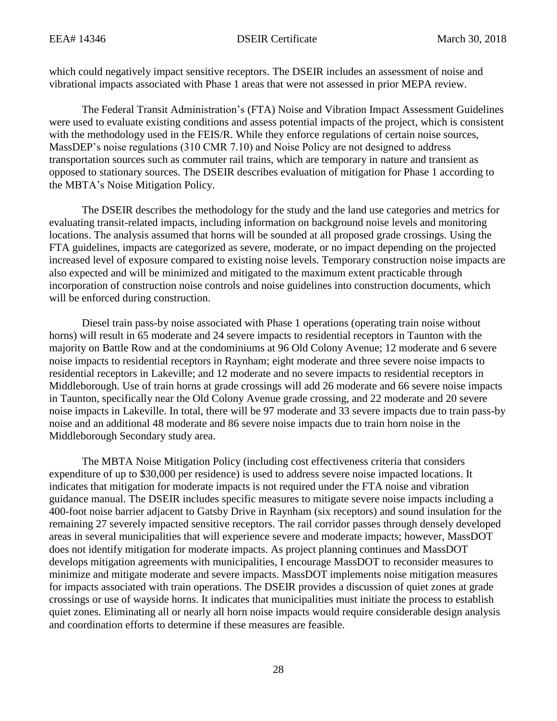which could negatively impact sensitive receptors. The DSEIR includes an assessment of noise and vibrational impacts associated with Phase 1 areas that were not assessed in prior MEPA review.

The Federal Transit Administration's (FTA) Noise and Vibration Impact Assessment Guidelines were used to evaluate existing conditions and assess potential impacts of the project, which is consistent with the methodology used in the FEIS/R. While they enforce regulations of certain noise sources, MassDEP's noise regulations (310 CMR 7.10) and Noise Policy are not designed to address transportation sources such as commuter rail trains, which are temporary in nature and transient as opposed to stationary sources. The DSEIR describes evaluation of mitigation for Phase 1 according to the MBTA's Noise Mitigation Policy.

The DSEIR describes the methodology for the study and the land use categories and metrics for evaluating transit-related impacts, including information on background noise levels and monitoring locations. The analysis assumed that horns will be sounded at all proposed grade crossings. Using the FTA guidelines, impacts are categorized as severe, moderate, or no impact depending on the projected increased level of exposure compared to existing noise levels. Temporary construction noise impacts are also expected and will be minimized and mitigated to the maximum extent practicable through incorporation of construction noise controls and noise guidelines into construction documents, which will be enforced during construction.

Diesel train pass-by noise associated with Phase 1 operations (operating train noise without horns) will result in 65 moderate and 24 severe impacts to residential receptors in Taunton with the majority on Battle Row and at the condominiums at 96 Old Colony Avenue; 12 moderate and 6 severe noise impacts to residential receptors in Raynham; eight moderate and three severe noise impacts to residential receptors in Lakeville; and 12 moderate and no severe impacts to residential receptors in Middleborough. Use of train horns at grade crossings will add 26 moderate and 66 severe noise impacts in Taunton, specifically near the Old Colony Avenue grade crossing, and 22 moderate and 20 severe noise impacts in Lakeville. In total, there will be 97 moderate and 33 severe impacts due to train pass-by noise and an additional 48 moderate and 86 severe noise impacts due to train horn noise in the Middleborough Secondary study area.

The MBTA Noise Mitigation Policy (including cost effectiveness criteria that considers expenditure of up to \$30,000 per residence) is used to address severe noise impacted locations. It indicates that mitigation for moderate impacts is not required under the FTA noise and vibration guidance manual. The DSEIR includes specific measures to mitigate severe noise impacts including a 400-foot noise barrier adjacent to Gatsby Drive in Raynham (six receptors) and sound insulation for the remaining 27 severely impacted sensitive receptors. The rail corridor passes through densely developed areas in several municipalities that will experience severe and moderate impacts; however, MassDOT does not identify mitigation for moderate impacts. As project planning continues and MassDOT develops mitigation agreements with municipalities, I encourage MassDOT to reconsider measures to minimize and mitigate moderate and severe impacts. MassDOT implements noise mitigation measures for impacts associated with train operations. The DSEIR provides a discussion of quiet zones at grade crossings or use of wayside horns. It indicates that municipalities must initiate the process to establish quiet zones. Eliminating all or nearly all horn noise impacts would require considerable design analysis and coordination efforts to determine if these measures are feasible.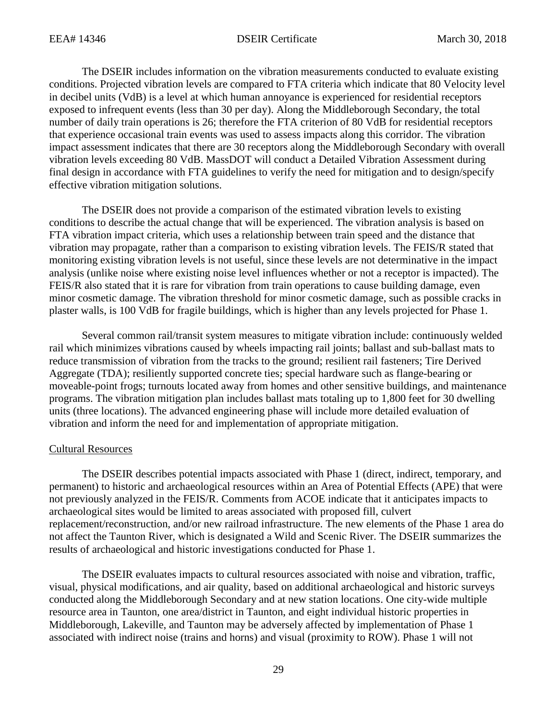The DSEIR includes information on the vibration measurements conducted to evaluate existing conditions. Projected vibration levels are compared to FTA criteria which indicate that 80 Velocity level in decibel units (VdB) is a level at which human annoyance is experienced for residential receptors exposed to infrequent events (less than 30 per day). Along the Middleborough Secondary, the total number of daily train operations is 26; therefore the FTA criterion of 80 VdB for residential receptors that experience occasional train events was used to assess impacts along this corridor. The vibration impact assessment indicates that there are 30 receptors along the Middleborough Secondary with overall vibration levels exceeding 80 VdB. MassDOT will conduct a Detailed Vibration Assessment during final design in accordance with FTA guidelines to verify the need for mitigation and to design/specify effective vibration mitigation solutions.

The DSEIR does not provide a comparison of the estimated vibration levels to existing conditions to describe the actual change that will be experienced. The vibration analysis is based on FTA vibration impact criteria, which uses a relationship between train speed and the distance that vibration may propagate, rather than a comparison to existing vibration levels. The FEIS/R stated that monitoring existing vibration levels is not useful, since these levels are not determinative in the impact analysis (unlike noise where existing noise level influences whether or not a receptor is impacted). The FEIS/R also stated that it is rare for vibration from train operations to cause building damage, even minor cosmetic damage. The vibration threshold for minor cosmetic damage, such as possible cracks in plaster walls, is 100 VdB for fragile buildings, which is higher than any levels projected for Phase 1.

Several common rail/transit system measures to mitigate vibration include: continuously welded rail which minimizes vibrations caused by wheels impacting rail joints; ballast and sub-ballast mats to reduce transmission of vibration from the tracks to the ground; resilient rail fasteners; Tire Derived Aggregate (TDA); resiliently supported concrete ties; special hardware such as flange-bearing or moveable-point frogs; turnouts located away from homes and other sensitive buildings, and maintenance programs. The vibration mitigation plan includes ballast mats totaling up to 1,800 feet for 30 dwelling units (three locations). The advanced engineering phase will include more detailed evaluation of vibration and inform the need for and implementation of appropriate mitigation.

# Cultural Resources

The DSEIR describes potential impacts associated with Phase 1 (direct, indirect, temporary, and permanent) to historic and archaeological resources within an Area of Potential Effects (APE) that were not previously analyzed in the FEIS/R. Comments from ACOE indicate that it anticipates impacts to archaeological sites would be limited to areas associated with proposed fill, culvert replacement/reconstruction, and/or new railroad infrastructure. The new elements of the Phase 1 area do not affect the Taunton River, which is designated a Wild and Scenic River. The DSEIR summarizes the results of archaeological and historic investigations conducted for Phase 1.

The DSEIR evaluates impacts to cultural resources associated with noise and vibration, traffic, visual, physical modifications, and air quality, based on additional archaeological and historic surveys conducted along the Middleborough Secondary and at new station locations. One city-wide multiple resource area in Taunton, one area/district in Taunton, and eight individual historic properties in Middleborough, Lakeville, and Taunton may be adversely affected by implementation of Phase 1 associated with indirect noise (trains and horns) and visual (proximity to ROW). Phase 1 will not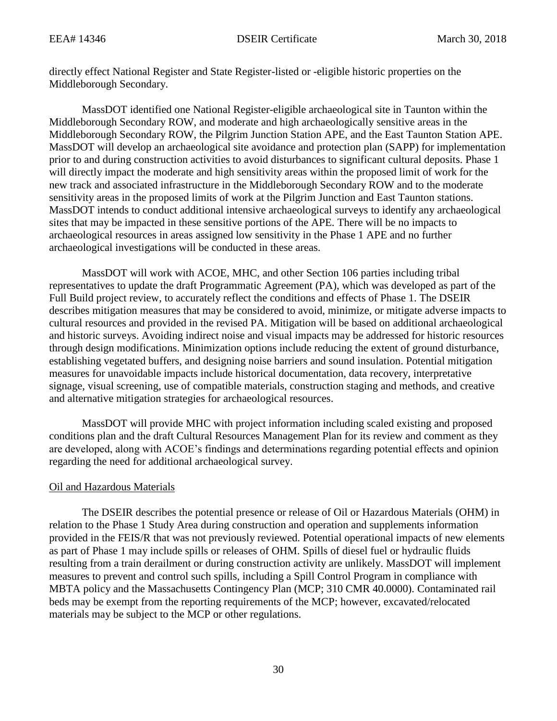directly effect National Register and State Register-listed or -eligible historic properties on the Middleborough Secondary.

MassDOT identified one National Register-eligible archaeological site in Taunton within the Middleborough Secondary ROW, and moderate and high archaeologically sensitive areas in the Middleborough Secondary ROW, the Pilgrim Junction Station APE, and the East Taunton Station APE. MassDOT will develop an archaeological site avoidance and protection plan (SAPP) for implementation prior to and during construction activities to avoid disturbances to significant cultural deposits. Phase 1 will directly impact the moderate and high sensitivity areas within the proposed limit of work for the new track and associated infrastructure in the Middleborough Secondary ROW and to the moderate sensitivity areas in the proposed limits of work at the Pilgrim Junction and East Taunton stations. MassDOT intends to conduct additional intensive archaeological surveys to identify any archaeological sites that may be impacted in these sensitive portions of the APE. There will be no impacts to archaeological resources in areas assigned low sensitivity in the Phase 1 APE and no further archaeological investigations will be conducted in these areas.

MassDOT will work with ACOE, MHC, and other Section 106 parties including tribal representatives to update the draft Programmatic Agreement (PA), which was developed as part of the Full Build project review, to accurately reflect the conditions and effects of Phase 1. The DSEIR describes mitigation measures that may be considered to avoid, minimize, or mitigate adverse impacts to cultural resources and provided in the revised PA. Mitigation will be based on additional archaeological and historic surveys. Avoiding indirect noise and visual impacts may be addressed for historic resources through design modifications. Minimization options include reducing the extent of ground disturbance, establishing vegetated buffers, and designing noise barriers and sound insulation. Potential mitigation measures for unavoidable impacts include historical documentation, data recovery, interpretative signage, visual screening, use of compatible materials, construction staging and methods, and creative and alternative mitigation strategies for archaeological resources.

MassDOT will provide MHC with project information including scaled existing and proposed conditions plan and the draft Cultural Resources Management Plan for its review and comment as they are developed, along with ACOE's findings and determinations regarding potential effects and opinion regarding the need for additional archaeological survey.

# Oil and Hazardous Materials

The DSEIR describes the potential presence or release of Oil or Hazardous Materials (OHM) in relation to the Phase 1 Study Area during construction and operation and supplements information provided in the FEIS/R that was not previously reviewed. Potential operational impacts of new elements as part of Phase 1 may include spills or releases of OHM. Spills of diesel fuel or hydraulic fluids resulting from a train derailment or during construction activity are unlikely. MassDOT will implement measures to prevent and control such spills, including a Spill Control Program in compliance with MBTA policy and the Massachusetts Contingency Plan (MCP; 310 CMR 40.0000). Contaminated rail beds may be exempt from the reporting requirements of the MCP; however, excavated/relocated materials may be subject to the MCP or other regulations.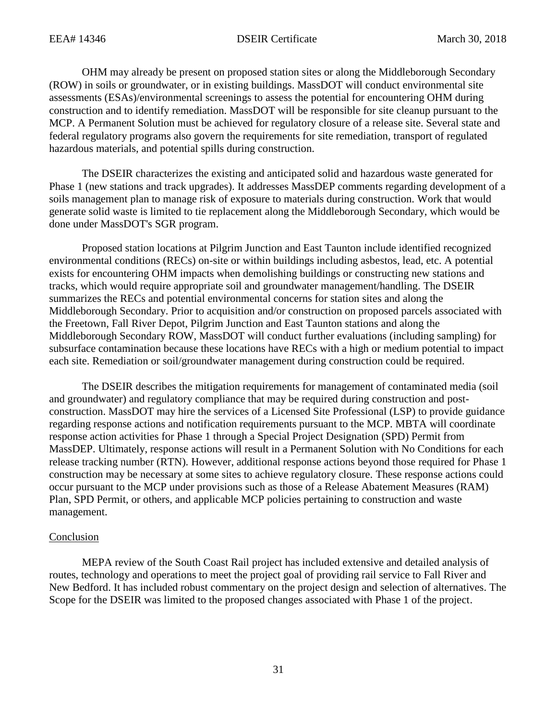OHM may already be present on proposed station sites or along the Middleborough Secondary (ROW) in soils or groundwater, or in existing buildings. MassDOT will conduct environmental site assessments (ESAs)/environmental screenings to assess the potential for encountering OHM during construction and to identify remediation. MassDOT will be responsible for site cleanup pursuant to the MCP. A Permanent Solution must be achieved for regulatory closure of a release site. Several state and federal regulatory programs also govern the requirements for site remediation, transport of regulated hazardous materials, and potential spills during construction.

The DSEIR characterizes the existing and anticipated solid and hazardous waste generated for Phase 1 (new stations and track upgrades). It addresses MassDEP comments regarding development of a soils management plan to manage risk of exposure to materials during construction. Work that would generate solid waste is limited to tie replacement along the Middleborough Secondary, which would be done under MassDOT's SGR program.

Proposed station locations at Pilgrim Junction and East Taunton include identified recognized environmental conditions (RECs) on-site or within buildings including asbestos, lead, etc. A potential exists for encountering OHM impacts when demolishing buildings or constructing new stations and tracks, which would require appropriate soil and groundwater management/handling. The DSEIR summarizes the RECs and potential environmental concerns for station sites and along the Middleborough Secondary. Prior to acquisition and/or construction on proposed parcels associated with the Freetown, Fall River Depot, Pilgrim Junction and East Taunton stations and along the Middleborough Secondary ROW, MassDOT will conduct further evaluations (including sampling) for subsurface contamination because these locations have RECs with a high or medium potential to impact each site. Remediation or soil/groundwater management during construction could be required.

The DSEIR describes the mitigation requirements for management of contaminated media (soil and groundwater) and regulatory compliance that may be required during construction and postconstruction. MassDOT may hire the services of a Licensed Site Professional (LSP) to provide guidance regarding response actions and notification requirements pursuant to the MCP. MBTA will coordinate response action activities for Phase 1 through a Special Project Designation (SPD) Permit from MassDEP. Ultimately, response actions will result in a Permanent Solution with No Conditions for each release tracking number (RTN). However, additional response actions beyond those required for Phase 1 construction may be necessary at some sites to achieve regulatory closure. These response actions could occur pursuant to the MCP under provisions such as those of a Release Abatement Measures (RAM) Plan, SPD Permit, or others, and applicable MCP policies pertaining to construction and waste management.

# Conclusion

MEPA review of the South Coast Rail project has included extensive and detailed analysis of routes, technology and operations to meet the project goal of providing rail service to Fall River and New Bedford. It has included robust commentary on the project design and selection of alternatives. The Scope for the DSEIR was limited to the proposed changes associated with Phase 1 of the project.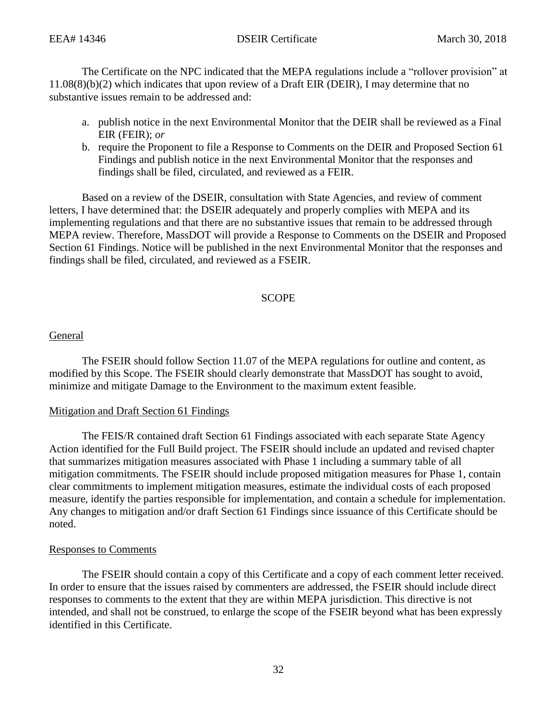The Certificate on the NPC indicated that the MEPA regulations include a "rollover provision" at 11.08(8)(b)(2) which indicates that upon review of a Draft EIR (DEIR), I may determine that no substantive issues remain to be addressed and:

- a. publish notice in the next Environmental Monitor that the DEIR shall be reviewed as a Final EIR (FEIR); *or*
- b. require the Proponent to file a Response to Comments on the DEIR and Proposed Section 61 Findings and publish notice in the next Environmental Monitor that the responses and findings shall be filed, circulated, and reviewed as a FEIR.

Based on a review of the DSEIR, consultation with State Agencies, and review of comment letters, I have determined that: the DSEIR adequately and properly complies with MEPA and its implementing regulations and that there are no substantive issues that remain to be addressed through MEPA review. Therefore, MassDOT will provide a Response to Comments on the DSEIR and Proposed Section 61 Findings. Notice will be published in the next Environmental Monitor that the responses and findings shall be filed, circulated, and reviewed as a FSEIR.

# **SCOPE**

#### General

The FSEIR should follow Section 11.07 of the MEPA regulations for outline and content, as modified by this Scope. The FSEIR should clearly demonstrate that MassDOT has sought to avoid, minimize and mitigate Damage to the Environment to the maximum extent feasible.

#### Mitigation and Draft Section 61 Findings

The FEIS/R contained draft Section 61 Findings associated with each separate State Agency Action identified for the Full Build project. The FSEIR should include an updated and revised chapter that summarizes mitigation measures associated with Phase 1 including a summary table of all mitigation commitments. The FSEIR should include proposed mitigation measures for Phase 1, contain clear commitments to implement mitigation measures, estimate the individual costs of each proposed measure, identify the parties responsible for implementation, and contain a schedule for implementation. Any changes to mitigation and/or draft Section 61 Findings since issuance of this Certificate should be noted.

#### Responses to Comments

The FSEIR should contain a copy of this Certificate and a copy of each comment letter received. In order to ensure that the issues raised by commenters are addressed, the FSEIR should include direct responses to comments to the extent that they are within MEPA jurisdiction. This directive is not intended, and shall not be construed, to enlarge the scope of the FSEIR beyond what has been expressly identified in this Certificate.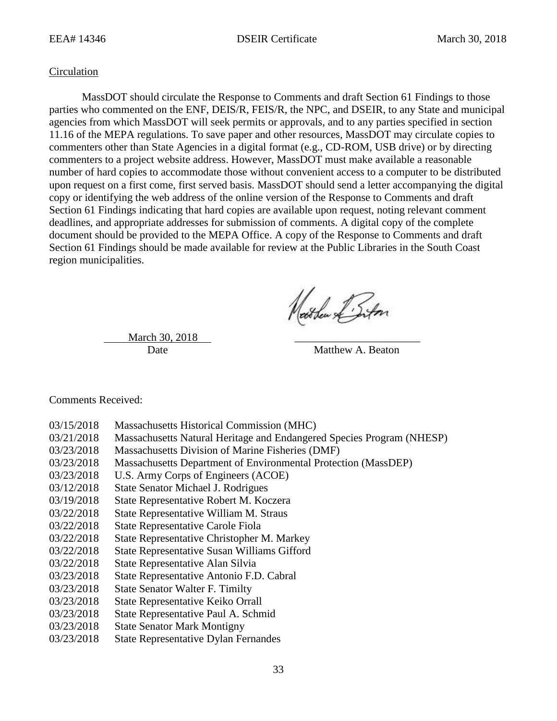#### **Circulation**

MassDOT should circulate the Response to Comments and draft Section 61 Findings to those parties who commented on the ENF, DEIS/R, FEIS/R, the NPC, and DSEIR, to any State and municipal agencies from which MassDOT will seek permits or approvals, and to any parties specified in section 11.16 of the MEPA regulations. To save paper and other resources, MassDOT may circulate copies to commenters other than State Agencies in a digital format (e.g., CD-ROM, USB drive) or by directing commenters to a project website address. However, MassDOT must make available a reasonable number of hard copies to accommodate those without convenient access to a computer to be distributed upon request on a first come, first served basis. MassDOT should send a letter accompanying the digital copy or identifying the web address of the online version of the Response to Comments and draft Section 61 Findings indicating that hard copies are available upon request, noting relevant comment deadlines, and appropriate addresses for submission of comments. A digital copy of the complete document should be provided to the MEPA Office. A copy of the Response to Comments and draft Section 61 Findings should be made available for review at the Public Libraries in the South Coast region municipalities.

Nathen & Siton

March 30, 2018

Date Matthew A. Beaton

Comments Received:

- 03/15/2018 Massachusetts Historical Commission (MHC)
- 03/21/2018 Massachusetts Natural Heritage and Endangered Species Program (NHESP)
- 03/23/2018 Massachusetts Division of Marine Fisheries (DMF)
- 03/23/2018 Massachusetts Department of Environmental Protection (MassDEP)
- 03/23/2018 U.S. Army Corps of Engineers (ACOE)
- 03/12/2018 State Senator Michael J. Rodrigues
- 03/19/2018 State Representative Robert M. Koczera
- 03/22/2018 State Representative William M. Straus
- 03/22/2018 State Representative Carole Fiola
- 03/22/2018 State Representative Christopher M. Markey
- 03/22/2018 State Representative Susan Williams Gifford
- 03/22/2018 State Representative Alan Silvia
- 03/23/2018 State Representative Antonio F.D. Cabral
- 03/23/2018 State Senator Walter F. Timilty
- 03/23/2018 State Representative Keiko Orrall
- 03/23/2018 State Representative Paul A. Schmid
- 03/23/2018 State Senator Mark Montigny
- 03/23/2018 State Representative Dylan Fernandes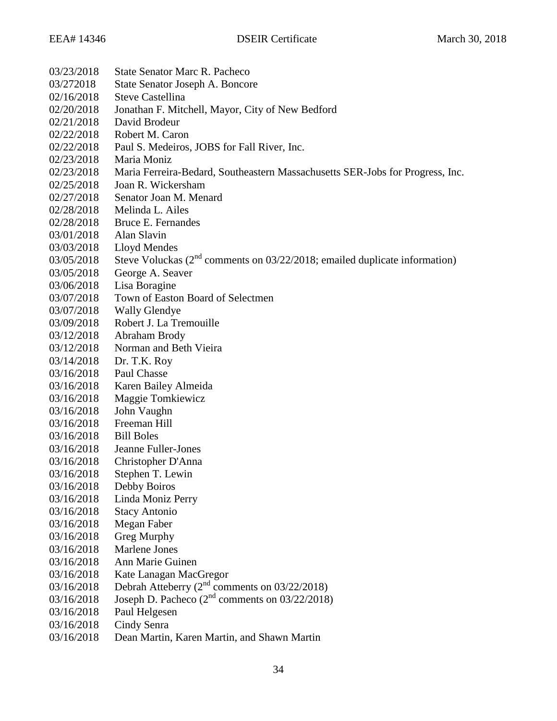| 03/23/2018 | <b>State Senator Marc R. Pacheco</b>                                          |
|------------|-------------------------------------------------------------------------------|
| 03/272018  | State Senator Joseph A. Boncore                                               |
| 02/16/2018 | <b>Steve Castellina</b>                                                       |
| 02/20/2018 | Jonathan F. Mitchell, Mayor, City of New Bedford                              |
| 02/21/2018 | David Brodeur                                                                 |
| 02/22/2018 | Robert M. Caron                                                               |
| 02/22/2018 | Paul S. Medeiros, JOBS for Fall River, Inc.                                   |
| 02/23/2018 | Maria Moniz                                                                   |
| 02/23/2018 | Maria Ferreira-Bedard, Southeastern Massachusetts SER-Jobs for Progress, Inc. |
| 02/25/2018 | Joan R. Wickersham                                                            |
| 02/27/2018 | Senator Joan M. Menard                                                        |
| 02/28/2018 | Melinda L. Ailes                                                              |
| 02/28/2018 | Bruce E. Fernandes                                                            |
| 03/01/2018 | Alan Slavin                                                                   |
| 03/03/2018 | <b>Lloyd Mendes</b>                                                           |
| 03/05/2018 | Steve Voluckas ( $2nd$ comments on 03/22/2018; emailed duplicate information) |
| 03/05/2018 | George A. Seaver                                                              |
| 03/06/2018 | Lisa Boragine                                                                 |
| 03/07/2018 | Town of Easton Board of Selectmen                                             |
| 03/07/2018 | <b>Wally Glendye</b>                                                          |
| 03/09/2018 | Robert J. La Tremouille                                                       |
| 03/12/2018 | Abraham Brody                                                                 |
| 03/12/2018 | Norman and Beth Vieira                                                        |
| 03/14/2018 | Dr. T.K. Roy                                                                  |
| 03/16/2018 | Paul Chasse                                                                   |
| 03/16/2018 | Karen Bailey Almeida                                                          |
| 03/16/2018 | Maggie Tomkiewicz                                                             |
| 03/16/2018 | John Vaughn                                                                   |
| 03/16/2018 | Freeman Hill                                                                  |
| 03/16/2018 | <b>Bill Boles</b>                                                             |
| 03/16/2018 | Jeanne Fuller-Jones                                                           |
| 03/16/2018 | Christopher D'Anna                                                            |
| 03/16/2018 | Stephen T. Lewin                                                              |
| 03/16/2018 | Debby Boiros                                                                  |
| 03/16/2018 | Linda Moniz Perry                                                             |
| 03/16/2018 | <b>Stacy Antonio</b>                                                          |
| 03/16/2018 | Megan Faber                                                                   |
| 03/16/2018 | Greg Murphy                                                                   |
| 03/16/2018 | <b>Marlene Jones</b>                                                          |
| 03/16/2018 | Ann Marie Guinen                                                              |
| 03/16/2018 | Kate Lanagan MacGregor                                                        |
| 03/16/2018 | Debrah Atteberry ( $2nd$ comments on 03/22/2018)                              |
| 03/16/2018 | Joseph D. Pacheco $(2^{nd}$ comments on 03/22/2018)                           |
| 03/16/2018 | Paul Helgesen                                                                 |
| 03/16/2018 | Cindy Senra                                                                   |
| 03/16/2018 | Dean Martin, Karen Martin, and Shawn Martin                                   |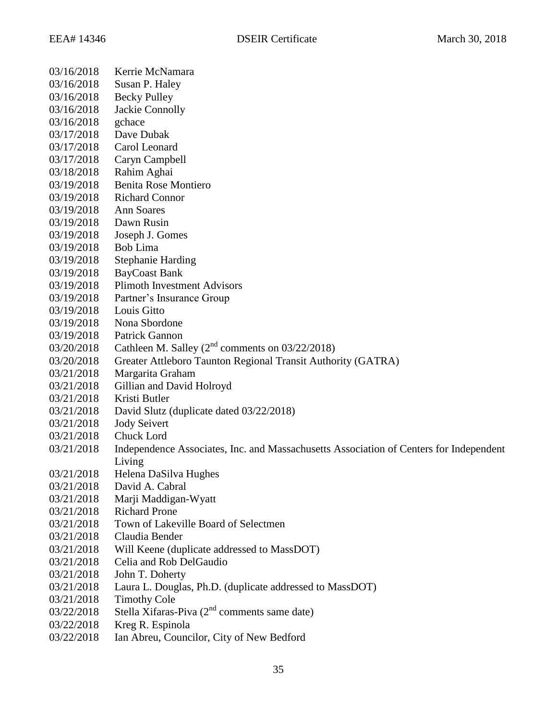| 03/16/2018 | Kerrie McNamara                                                                        |
|------------|----------------------------------------------------------------------------------------|
| 03/16/2018 | Susan P. Haley                                                                         |
| 03/16/2018 | <b>Becky Pulley</b>                                                                    |
| 03/16/2018 | <b>Jackie Connolly</b>                                                                 |
| 03/16/2018 | gchace                                                                                 |
| 03/17/2018 | Dave Dubak                                                                             |
| 03/17/2018 | Carol Leonard                                                                          |
| 03/17/2018 | Caryn Campbell                                                                         |
| 03/18/2018 | Rahim Aghai                                                                            |
| 03/19/2018 | Benita Rose Montiero                                                                   |
| 03/19/2018 | <b>Richard Connor</b>                                                                  |
| 03/19/2018 | <b>Ann Soares</b>                                                                      |
| 03/19/2018 | Dawn Rusin                                                                             |
| 03/19/2018 | Joseph J. Gomes                                                                        |
| 03/19/2018 | Bob Lima                                                                               |
| 03/19/2018 | <b>Stephanie Harding</b>                                                               |
| 03/19/2018 | <b>BayCoast Bank</b>                                                                   |
| 03/19/2018 | <b>Plimoth Investment Advisors</b>                                                     |
| 03/19/2018 | Partner's Insurance Group                                                              |
| 03/19/2018 | Louis Gitto                                                                            |
| 03/19/2018 | Nona Sbordone                                                                          |
| 03/19/2018 | Patrick Gannon                                                                         |
| 03/20/2018 | Cathleen M. Salley ( $2nd$ comments on 03/22/2018)                                     |
| 03/20/2018 | Greater Attleboro Taunton Regional Transit Authority (GATRA)                           |
| 03/21/2018 | Margarita Graham                                                                       |
| 03/21/2018 | Gillian and David Holroyd                                                              |
| 03/21/2018 | Kristi Butler                                                                          |
| 03/21/2018 | David Slutz (duplicate dated 03/22/2018)                                               |
| 03/21/2018 | <b>Jody Seivert</b>                                                                    |
| 03/21/2018 | Chuck Lord                                                                             |
| 03/21/2018 | Independence Associates, Inc. and Massachusetts Association of Centers for Independent |
|            | Living                                                                                 |
| 03/21/2018 | Helena DaSilva Hughes                                                                  |
| 03/21/2018 | David A. Cabral                                                                        |
| 03/21/2018 | Marji Maddigan-Wyatt                                                                   |
| 03/21/2018 | <b>Richard Prone</b>                                                                   |
| 03/21/2018 | Town of Lakeville Board of Selectmen                                                   |
| 03/21/2018 | Claudia Bender                                                                         |
| 03/21/2018 | Will Keene (duplicate addressed to MassDOT)                                            |
| 03/21/2018 | Celia and Rob DelGaudio                                                                |
| 03/21/2018 | John T. Doherty                                                                        |
| 03/21/2018 | Laura L. Douglas, Ph.D. (duplicate addressed to MassDOT)                               |
| 03/21/2018 | <b>Timothy Cole</b>                                                                    |
| 03/22/2018 | Stella Xifaras-Piva (2 <sup>nd</sup> comments same date)                               |
| 03/22/2018 | Kreg R. Espinola                                                                       |
| 03/22/2018 | Ian Abreu, Councilor, City of New Bedford                                              |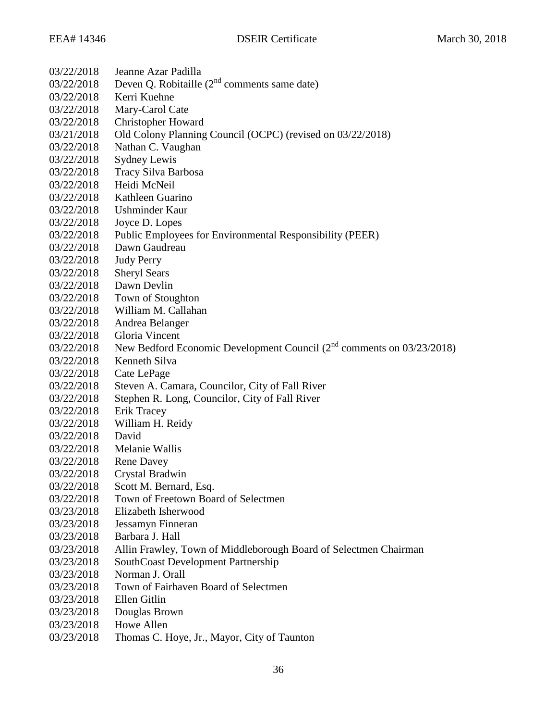| 03/22/2018 | Jeanne Azar Padilla                                                        |
|------------|----------------------------------------------------------------------------|
| 03/22/2018 | Deven Q. Robitaille $(2^{nd}$ comments same date)                          |
| 03/22/2018 | Kerri Kuehne                                                               |
| 03/22/2018 | Mary-Carol Cate                                                            |
| 03/22/2018 | <b>Christopher Howard</b>                                                  |
| 03/21/2018 | Old Colony Planning Council (OCPC) (revised on 03/22/2018)                 |
| 03/22/2018 | Nathan C. Vaughan                                                          |
| 03/22/2018 | <b>Sydney Lewis</b>                                                        |
| 03/22/2018 | Tracy Silva Barbosa                                                        |
| 03/22/2018 | Heidi McNeil                                                               |
| 03/22/2018 | Kathleen Guarino                                                           |
| 03/22/2018 | Ushminder Kaur                                                             |
| 03/22/2018 | Joyce D. Lopes                                                             |
| 03/22/2018 | Public Employees for Environmental Responsibility (PEER)                   |
| 03/22/2018 | Dawn Gaudreau                                                              |
| 03/22/2018 | <b>Judy Perry</b>                                                          |
| 03/22/2018 | <b>Sheryl Sears</b>                                                        |
| 03/22/2018 | Dawn Devlin                                                                |
| 03/22/2018 | Town of Stoughton                                                          |
| 03/22/2018 | William M. Callahan                                                        |
| 03/22/2018 | Andrea Belanger                                                            |
| 03/22/2018 | Gloria Vincent                                                             |
| 03/22/2018 | New Bedford Economic Development Council $(2^{nd}$ comments on 03/23/2018) |
| 03/22/2018 | Kenneth Silva                                                              |
| 03/22/2018 | Cate LePage                                                                |
| 03/22/2018 | Steven A. Camara, Councilor, City of Fall River                            |
| 03/22/2018 | Stephen R. Long, Councilor, City of Fall River                             |
| 03/22/2018 | Erik Tracey                                                                |
| 03/22/2018 | William H. Reidy                                                           |
| 03/22/2018 | David                                                                      |
| 03/22/2018 | Melanie Wallis                                                             |
| 03/22/2018 | <b>Rene Davey</b>                                                          |
| 03/22/2018 | Crystal Bradwin                                                            |
| 03/22/2018 | Scott M. Bernard, Esq.                                                     |
| 03/22/2018 | Town of Freetown Board of Selectmen                                        |
| 03/23/2018 | Elizabeth Isherwood                                                        |
| 03/23/2018 | Jessamyn Finneran                                                          |
| 03/23/2018 | Barbara J. Hall                                                            |
| 03/23/2018 | Allin Frawley, Town of Middleborough Board of Selectmen Chairman           |
| 03/23/2018 | SouthCoast Development Partnership                                         |
| 03/23/2018 | Norman J. Orall                                                            |
| 03/23/2018 | Town of Fairhaven Board of Selectmen                                       |
| 03/23/2018 | Ellen Gitlin                                                               |
| 03/23/2018 | Douglas Brown                                                              |
| 03/23/2018 | Howe Allen                                                                 |
| 03/23/2018 | Thomas C. Hoye, Jr., Mayor, City of Taunton                                |
|            |                                                                            |